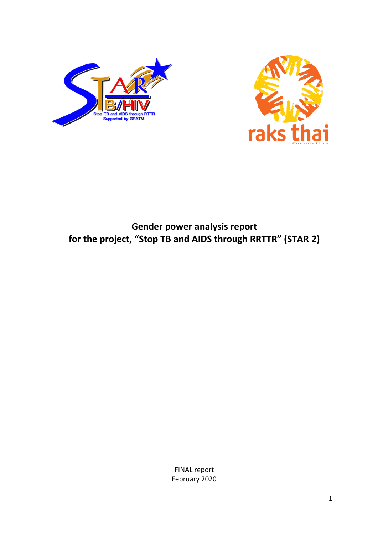



# **Gender power analysis report for the project, "Stop TB and AIDS through RRTTR" (STAR 2)**

FINAL report February 2020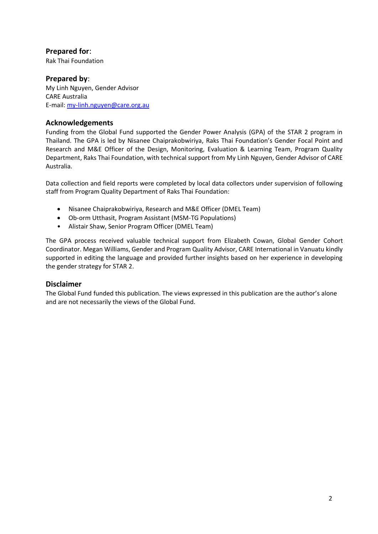### **Prepared for**:

Rak Thai Foundation

#### **Prepared by**: My Linh Nguyen, Gender Advisor CARE Australia E-mail[: my-linh.nguyen@care.org.au](mailto:my-linh.nguyen@care.org.au)

### **Acknowledgements**

Funding from the Global Fund supported the Gender Power Analysis (GPA) of the STAR 2 program in Thailand. The GPA is led by Nisanee Chaiprakobwiriya, Raks Thai Foundation's Gender Focal Point and Research and M&E Officer of the Design, Monitoring, Evaluation & Learning Team, Program Quality Department, Raks Thai Foundation, with technical support from My Linh Nguyen, Gender Advisor of CARE Australia.

Data collection and field reports were completed by local data collectors under supervision of following staff from Program Quality Department of Raks Thai Foundation:

- Nisanee Chaiprakobwiriya, Research and M&E Officer (DMEL Team)
- Ob-orm Utthasit, Program Assistant (MSM-TG Populations)
- Alistair Shaw, Senior Program Officer (DMEL Team)

The GPA process received valuable technical support from Elizabeth Cowan, Global Gender Cohort Coordinator. Megan Williams, Gender and Program Quality Advisor, CARE International in Vanuatu kindly supported in editing the language and provided further insights based on her experience in developing the gender strategy for STAR 2.

### **Disclaimer**

The Global Fund funded this publication. The views expressed in this publication are the author's alone and are not necessarily the views of the Global Fund.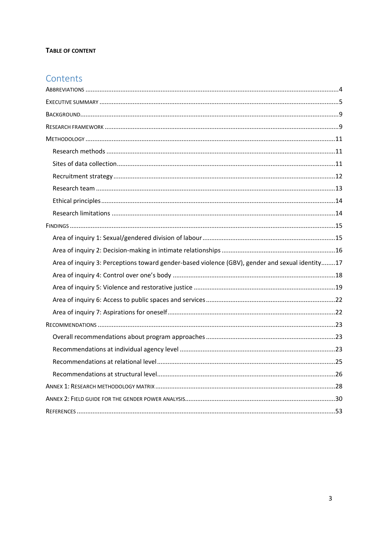#### TABLE OF CONTENT

# Contents

| Area of inquiry 3: Perceptions toward gender-based violence (GBV), gender and sexual identity17 |  |
|-------------------------------------------------------------------------------------------------|--|
|                                                                                                 |  |
|                                                                                                 |  |
|                                                                                                 |  |
|                                                                                                 |  |
|                                                                                                 |  |
|                                                                                                 |  |
|                                                                                                 |  |
|                                                                                                 |  |
|                                                                                                 |  |
|                                                                                                 |  |
|                                                                                                 |  |
|                                                                                                 |  |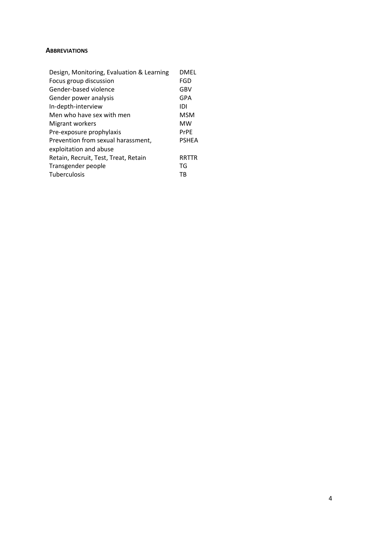#### <span id="page-3-0"></span>**ABBREVIATIONS**

| Design, Monitoring, Evaluation & Learning | DMEL         |
|-------------------------------------------|--------------|
| Focus group discussion                    | FGD          |
| Gender-based violence                     | GBV          |
| Gender power analysis                     | GPA          |
| In-depth-interview                        | IDI          |
| Men who have sex with men                 | <b>MSM</b>   |
| Migrant workers                           | MW           |
| Pre-exposure prophylaxis                  | PrPE         |
| Prevention from sexual harassment,        | <b>PSHEA</b> |
| exploitation and abuse                    |              |
| Retain, Recruit, Test, Treat, Retain      | RRTTR        |
| Transgender people                        | TG           |
| Tuberculosis                              | тв           |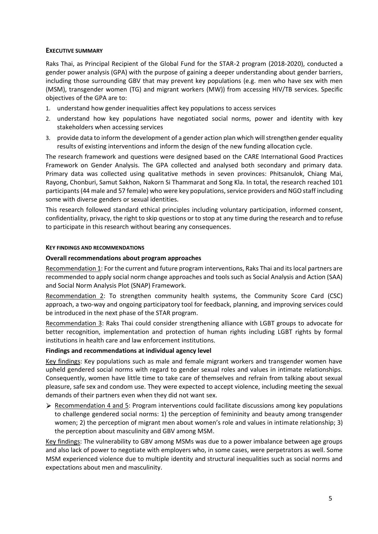#### <span id="page-4-0"></span>**EXECUTIVE SUMMARY**

Raks Thai, as Principal Recipient of the Global Fund for the STAR-2 program (2018-2020), conducted a gender power analysis (GPA) with the purpose of gaining a deeper understanding about gender barriers, including those surrounding GBV that may prevent key populations (e.g. men who have sex with men (MSM), transgender women (TG) and migrant workers (MW)) from accessing HIV/TB services. Specific objectives of the GPA are to:

- 1. understand how gender inequalities affect key populations to access services
- 2. understand how key populations have negotiated social norms, power and identity with key stakeholders when accessing services
- 3. provide data to inform the development of a gender action plan which will strengthen gender equality results of existing interventions and inform the design of the new funding allocation cycle.

The research framework and questions were designed based on the CARE International Good Practices Framework on Gender Analysis. The GPA collected and analysed both secondary and primary data. Primary data was collected using qualitative methods in seven provinces: Phitsanulok, Chiang Mai, Rayong, Chonburi, Samut Sakhon, Nakorn Si Thammarat and Song Kla. In total, the research reached 101 participants (44 male and 57 female) who were key populations, service providers and NGO staff including some with diverse genders or sexual identities.

This research followed standard ethical principles including voluntary participation, informed consent, confidentiality, privacy, the right to skip questions or to stop at any time during the research and to refuse to participate in this research without bearing any consequences.

#### **KEY FINDINGS AND RECOMMENDATIONS**

#### **Overall recommendations about program approaches**

Recommendation 1: For the current and future program interventions, Raks Thai and its local partners are recommended to apply social norm change approaches and tools such as Social Analysis and Action (SAA) and Social Norm Analysis Plot (SNAP) Framework.

Recommendation 2: To strengthen community health systems, the Community Score Card (CSC) approach, a two-way and ongoing participatory tool for feedback, planning, and improving services could be introduced in the next phase of the STAR program.

Recommendation 3: Raks Thai could consider strengthening alliance with LGBT groups to advocate for better recognition, implementation and protection of human rights including LGBT rights by formal institutions in health care and law enforcement institutions.

#### **Findings and recommendations at individual agency level**

Key findings: Key populations such as male and female migrant workers and transgender women have upheld gendered social norms with regard to gender sexual roles and values in intimate relationships. Consequently, women have little time to take care of themselves and refrain from talking about sexual pleasure, safe sex and condom use. They were expected to accept violence, including meeting the sexual demands of their partners even when they did not want sex.

 $\triangleright$  Recommendation 4 and 5: Program interventions could facilitate discussions among key populations to challenge gendered social norms: 1) the perception of femininity and beauty among transgender women; 2) the perception of migrant men about women's role and values in intimate relationship; 3) the perception about masculinity and GBV among MSM.

Key findings: The vulnerability to GBV among MSMs was due to a power imbalance between age groups and also lack of power to negotiate with employers who, in some cases, were perpetrators as well. Some MSM experienced violence due to multiple identity and structural inequalities such as social norms and expectations about men and masculinity.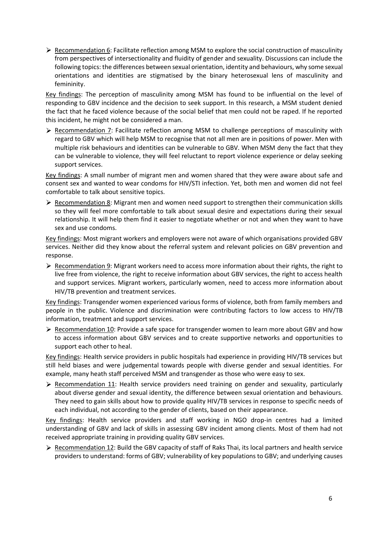$\triangleright$  Recommendation 6: Facilitate reflection among MSM to explore the social construction of masculinity from perspectives of intersectionality and fluidity of gender and sexuality. Discussions can include the following topics: the differences between sexual orientation, identity and behaviours, why some sexual orientations and identities are stigmatised by the binary heterosexual lens of masculinity and femininity.

Key findings: The perception of masculinity among MSM has found to be influential on the level of responding to GBV incidence and the decision to seek support. In this research, a MSM student denied the fact that he faced violence because of the social belief that men could not be raped. If he reported this incident, he might not be considered a man.

 $\triangleright$  Recommendation 7: Facilitate reflection among MSM to challenge perceptions of masculinity with regard to GBV which will help MSM to recognise that not all men are in positions of power. Men with multiple risk behaviours and identities can be vulnerable to GBV. When MSM deny the fact that they can be vulnerable to violence, they will feel reluctant to report violence experience or delay seeking support services.

Key findings: A small number of migrant men and women shared that they were aware about safe and consent sex and wanted to wear condoms for HIV/STI infection. Yet, both men and women did not feel comfortable to talk about sensitive topics.

 $\triangleright$  Recommendation 8: Migrant men and women need support to strengthen their communication skills so they will feel more comfortable to talk about sexual desire and expectations during their sexual relationship. It will help them find it easier to negotiate whether or not and when they want to have sex and use condoms.

Key findings: Most migrant workers and employers were not aware of which organisations provided GBV services. Neither did they know about the referral system and relevant policies on GBV prevention and response.

 $\triangleright$  Recommendation 9: Migrant workers need to access more information about their rights, the right to live free from violence, the right to receive information about GBV services, the right to access health and support services. Migrant workers, particularly women, need to access more information about HIV/TB prevention and treatment services.

Key findings: Transgender women experienced various forms of violence, both from family members and people in the public. Violence and discrimination were contributing factors to low access to HIV/TB information, treatment and support services.

 $\triangleright$  Recommendation 10: Provide a safe space for transgender women to learn more about GBV and how to access information about GBV services and to create supportive networks and opportunities to support each other to heal.

Key findings: Health service providers in public hospitals had experience in providing HIV/TB services but still held biases and were judgemental towards people with diverse gender and sexual identities. For example, many heath staff perceived MSM and transgender as those who were easy to sex.

 $\triangleright$  Recommendation 11: Health service providers need training on gender and sexuality, particularly about diverse gender and sexual identity, the difference between sexual orientation and behaviours. They need to gain skills about how to provide quality HIV/TB services in response to specific needs of each individual, not according to the gender of clients, based on their appearance.

Key findings: Health service providers and staff working in NGO drop-in centres had a limited understanding of GBV and lack of skills in assessing GBV incident among clients. Most of them had not received appropriate training in providing quality GBV services.

 $\triangleright$  Recommendation 12: Build the GBV capacity of staff of Raks Thai, its local partners and health service providers to understand: forms of GBV; vulnerability of key populations to GBV; and underlying causes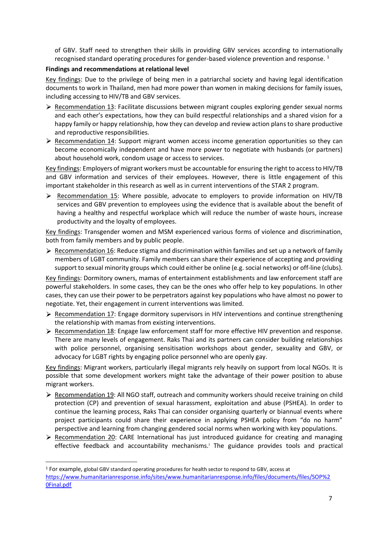of GBV. Staff need to strengthen their skills in providing GBV services according to internationally recognised standard operating procedures for gender-based violence prevention and response.<sup>1</sup>

#### **Findings and recommendations at relational level**

Key findings: Due to the privilege of being men in a patriarchal society and having legal identification documents to work in Thailand, men had more power than women in making decisions for family issues, including accessing to HIV/TB and GBV services.

- $\triangleright$  Recommendation 13: Facilitate discussions between migrant couples exploring gender sexual norms and each other's expectations, how they can build respectful relationships and a shared vision for a happy family or happy relationship, how they can develop and review action plans to share productive and reproductive responsibilities.
- $\triangleright$  Recommendation 14: Support migrant women access income generation opportunities so they can become economically independent and have more power to negotiate with husbands (or partners) about household work, condom usage or access to services.

Key findings: Employers of migrant workers must be accountable for ensuring the right to access to HIV/TB and GBV information and services of their employees. However, there is little engagement of this important stakeholder in this research as well as in current interventions of the STAR 2 program.

 $\triangleright$  Recommendation 15: Where possible, advocate to employers to provide information on HIV/TB services and GBV prevention to employees using the evidence that is available about the benefit of having a healthy and respectful workplace which will reduce the number of waste hours, increase productivity and the loyalty of employees.

Key findings: Transgender women and MSM experienced various forms of violence and discrimination, both from family members and by public people.

 $\triangleright$  Recommendation 16: Reduce stigma and discrimination within families and set up a network of family members of LGBT community. Family members can share their experience of accepting and providing support to sexual minority groups which could either be online (e.g. social networks) or off-line (clubs).

Key findings: Dormitory owners, mamas of entertainment establishments and law enforcement staff are powerful stakeholders. In some cases, they can be the ones who offer help to key populations. In other cases, they can use their power to be perpetrators against key populations who have almost no power to negotiate. Yet, their engagement in current interventions was limited.

- $\triangleright$  Recommendation 17: Engage dormitory supervisors in HIV interventions and continue strengthening the relationship with mamas from existing interventions.
- $\triangleright$  Recommendation 18: Engage law enforcement staff for more effective HIV prevention and response. There are many levels of engagement. Raks Thai and its partners can consider building relationships with police personnel, organising sensitisation workshops about gender, sexuality and GBV, or advocacy for LGBT rights by engaging police personnel who are openly gay.

Key findings: Migrant workers, particularly illegal migrants rely heavily on support from local NGOs. It is possible that some development workers might take the advantage of their power position to abuse migrant workers.

- $\triangleright$  Recommendation 19: All NGO staff, outreach and community workers should receive training on child protection (CP) and prevention of sexual harassment, exploitation and abuse (PSHEA). In order to continue the learning process, Raks Thai can consider organising quarterly or biannual events where project participants could share their experience in applying PSHEA policy from "do no harm" perspective and learning from changing gendered social norms when working with key populations.
- $\triangleright$  Recommendation 20: CARE International has just introduced guidance for creating and managing effective feedback and accountability mechanisms.<sup>1</sup> The guidance provides tools and practical

<sup>1</sup> For example, global GBV standard operating procedures for health sector to respond to GBV, access at [https://www.humanitarianresponse.info/sites/www.humanitarianresponse.info/files/documents/files/SOP%2](https://www.humanitarianresponse.info/sites/www.humanitarianresponse.info/files/documents/files/SOP%20Final.pdf) [0Final.pdf](https://www.humanitarianresponse.info/sites/www.humanitarianresponse.info/files/documents/files/SOP%20Final.pdf)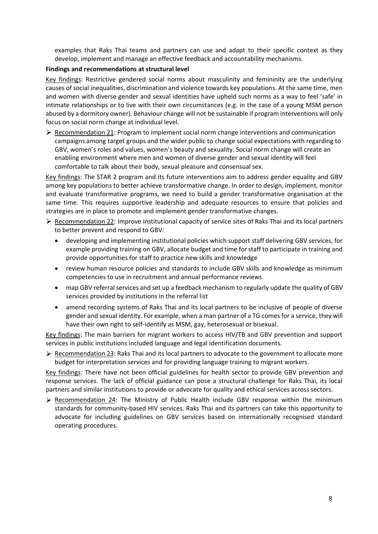examples that Raks Thai teams and partners can use and adapt to their specific context as they develop, implement and manage an effective feedback and accountability mechanisms.

#### **Findings and recommendations at structural level**

Key findings: Restrictive gendered social norms about masculinity and femininity are the underlying causes of social inequalities, discrimination and violence towards key populations. At the same time, men and women with diverse gender and sexual identities have upheld such norms as a way to feel 'safe' in intimate relationships or to live with their own circumstances (e.g. in the case of a young MSM person abused by a dormitory owner). Behaviour change will not be sustainable if program interventions will only focus on social norm change at individual level.

 $\triangleright$  Recommendation 21: Program to implement social norm change interventions and communication campaigns among target groups and the wider public to change social expectations with regarding to GBV, women's roles and values, women's beauty and sexuality. Social norm change will create an enabling environment where men and women of diverse gender and sexual identity will feel comfortable to talk about their body, sexual pleasure and consensual sex.

Key findings: The STAR 2 program and its future interventions aim to address gender equality and GBV among key populations to better achieve transformative change. In order to design, implement, monitor and evaluate transformative programs, we need to build a gender transformative organisation at the same time. This requires supportive leadership and adequate resources to ensure that policies and strategies are in place to promote and implement gender transformative changes.

- $\triangleright$  Recommendation 22: Improve institutional capacity of service sites of Raks Thai and its local partners to better prevent and respond to GBV:
	- developing and implementing institutional policies which support staff delivering GBV services, for example providing training on GBV, allocate budget and time for staff to participate in training and provide opportunities for staff to practice new skills and knowledge
	- review human resource policies and standards to include GBV skills and knowledge as minimum competencies to use in recruitment and annual performance reviews
	- map GBV referral services and set up a feedback mechanism to regularly update the quality of GBV services provided by institutions in the referral list
	- amend recording systems of Raks Thai and its local partners to be inclusive of people of diverse gender and sexual identity. For example, when a man partner of a TG comes for a service, they will have their own right to self-identify as MSM, gay, heterosexual or bisexual.

Key findings: The main barriers for migrant workers to access HIV/TB and GBV prevention and support services in public institutions included language and legal identification documents.

 $\triangleright$  Recommendation 23: Raks Thai and its local partners to advocate to the government to allocate more budget for interpretation services and for providing language training to migrant workers.

Key findings: There have not been official guidelines for health sector to provide GBV prevention and response services. The lack of official guidance can pose a structural challenge for Raks Thai, its local partners and similar institutions to provide or advocate for quality and ethical services across sectors.

 $\triangleright$  Recommendation 24: The Ministry of Public Health include GBV response within the minimum standards for community-based HIV services. Raks Thai and its partners can take this opportunity to advocate for including guidelines on GBV services based on internationally recognised standard operating procedures.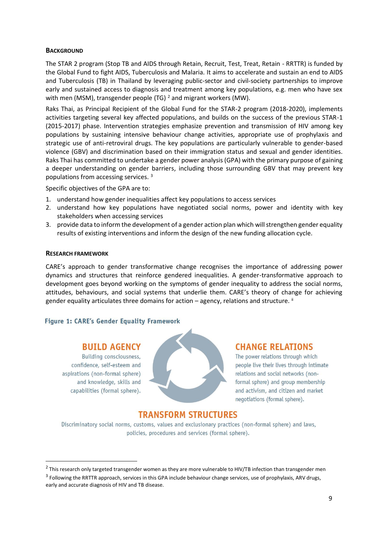#### <span id="page-8-0"></span>**BACKGROUND**

The STAR 2 program (Stop TB and AIDS through Retain, Recruit, Test, Treat, Retain - RRTTR) is funded by the Global Fund to fight AIDS, Tuberculosis and Malaria. It aims to accelerate and sustain an end to AIDS and Tuberculosis (TB) in Thailand by leveraging public-sector and civil-society partnerships to improve early and sustained access to diagnosis and treatment among key populations, e.g. men who have sex with men (MSM), transgender people (TG)<sup>2</sup> and migrant workers (MW).

Raks Thai, as Principal Recipient of the Global Fund for the STAR-2 program (2018-2020), implements activities targeting several key affected populations, and builds on the success of the previous STAR-1 (2015-2017) phase. Intervention strategies emphasize prevention and transmission of HIV among key populations by sustaining intensive behaviour change activities, appropriate use of prophylaxis and strategic use of anti-retroviral drugs. The key populations are particularly vulnerable to gender-based violence (GBV) and discrimination based on their immigration status and sexual and gender identities. Raks Thai has committed to undertake a gender power analysis (GPA) with the primary purpose of gaining a deeper understanding on gender barriers, including those surrounding GBV that may prevent key populations from accessing services. <sup>3</sup>

Specific objectives of the GPA are to:

- 1. understand how gender inequalities affect key populations to access services
- 2. understand how key populations have negotiated social norms, power and identity with key stakeholders when accessing services
- 3. provide data to inform the development of a gender action plan which will strengthen gender equality results of existing interventions and inform the design of the new funding allocation cycle.

#### <span id="page-8-1"></span>**RESEARCH FRAMEWORK**

CARE's approach to gender transformative change recognises the importance of addressing power dynamics and structures that reinforce gendered inequalities. A gender-transformative approach to development goes beyond working on the symptoms of gender inequality to address the social norms, attitudes, behaviours, and social systems that underlie them. CARE's theory of change for achieving gender equality articulates three domains for action – agency, relations and structure.  $\mathbb{I}$ 

#### Figure 1: CARE's Gender Equality Framework

### **BUILD AGENCY**

Building consciousness, confidence, self-esteem and aspirations (non-formal sphere) and knowledge, skills and capabilities (formal sphere).



### **CHANGE RELATIONS**

The power relations through which people live their lives through intimate relations and social networks (nonformal sphere) and group membership and activism, and citizen and market negotiations (formal sphere).

# **TRANSFORM STRUCTURES**

Discriminatory social norms, customs, values and exclusionary practices (non-formal sphere) and laws, policies, procedures and services (formal sphere).

 $2$  This research only targeted transgender women as they are more vulnerable to HIV/TB infection than transgender men

<sup>&</sup>lt;sup>3</sup> Following the RRTTR approach, services in this GPA include behaviour change services, use of prophylaxis, ARV drugs, early and accurate diagnosis of HIV and TB disease.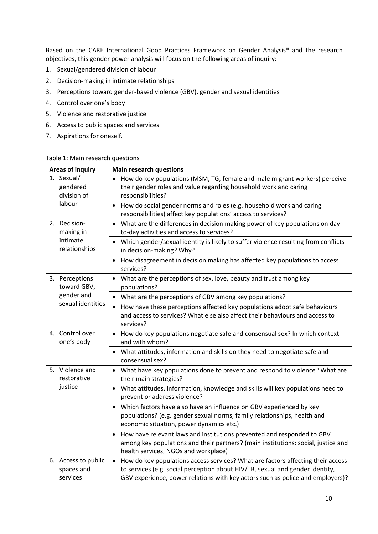Based on the CARE International Good Practices Framework on Gender Analysisii and the research objectives, this gender power analysis will focus on the following areas of inquiry:

- 1. Sexual/gendered division of labour
- 2. Decision-making in intimate relationships
- 3. Perceptions toward gender-based violence (GBV), gender and sexual identities
- 4. Control over one's body
- 5. Violence and restorative justice
- 6. Access to public spaces and services
- 7. Aspirations for oneself.

#### Table 1: Main research questions

| <b>Areas of inquiry</b>                       | <b>Main research questions</b>                                                                                                                                                                                                                                  |
|-----------------------------------------------|-----------------------------------------------------------------------------------------------------------------------------------------------------------------------------------------------------------------------------------------------------------------|
| 1. Sexual/<br>gendered<br>division of         | How do key populations (MSM, TG, female and male migrant workers) perceive<br>their gender roles and value regarding household work and caring<br>responsibilities?                                                                                             |
| labour                                        | How do social gender norms and roles (e.g. household work and caring<br>$\bullet$<br>responsibilities) affect key populations' access to services?                                                                                                              |
| 2. Decision-<br>making in                     | What are the differences in decision making power of key populations on day-<br>$\bullet$<br>to-day activities and access to services?                                                                                                                          |
| intimate<br>relationships                     | Which gender/sexual identity is likely to suffer violence resulting from conflicts<br>in decision-making? Why?                                                                                                                                                  |
|                                               | How disagreement in decision making has affected key populations to access<br>$\bullet$<br>services?                                                                                                                                                            |
| 3. Perceptions<br>toward GBV,                 | What are the perceptions of sex, love, beauty and trust among key<br>$\bullet$<br>populations?                                                                                                                                                                  |
| gender and                                    | What are the perceptions of GBV among key populations?<br>$\bullet$                                                                                                                                                                                             |
| sexual identities                             | How have these perceptions affected key populations adopt safe behaviours<br>$\bullet$<br>and access to services? What else also affect their behaviours and access to<br>services?                                                                             |
| 4. Control over<br>one's body                 | How do key populations negotiate safe and consensual sex? In which context<br>$\bullet$<br>and with whom?                                                                                                                                                       |
|                                               | What attitudes, information and skills do they need to negotiate safe and<br>consensual sex?                                                                                                                                                                    |
| 5. Violence and<br>restorative                | What have key populations done to prevent and respond to violence? What are<br>$\bullet$<br>their main strategies?                                                                                                                                              |
| justice                                       | What attitudes, information, knowledge and skills will key populations need to<br>$\bullet$<br>prevent or address violence?                                                                                                                                     |
|                                               | Which factors have also have an influence on GBV experienced by key<br>$\bullet$<br>populations? (e.g. gender sexual norms, family relationships, health and<br>economic situation, power dynamics etc.)                                                        |
|                                               | How have relevant laws and institutions prevented and responded to GBV<br>$\bullet$<br>among key populations and their partners? (main institutions: social, justice and<br>health services, NGOs and workplace)                                                |
| 6. Access to public<br>spaces and<br>services | How do key populations access services? What are factors affecting their access<br>$\bullet$<br>to services (e.g. social perception about HIV/TB, sexual and gender identity,<br>GBV experience, power relations with key actors such as police and employers)? |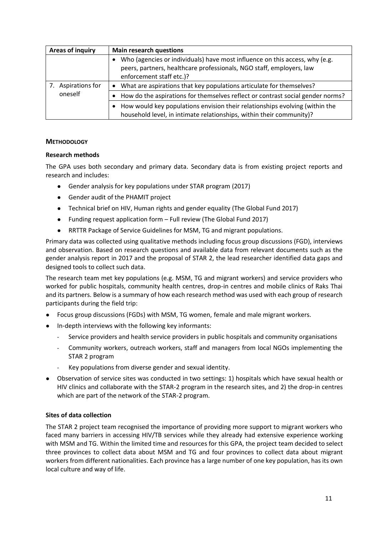| Areas of inquiry | <b>Main research questions</b>                                                                                                                                                  |
|------------------|---------------------------------------------------------------------------------------------------------------------------------------------------------------------------------|
|                  | Who (agencies or individuals) have most influence on this access, why (e.g.<br>peers, partners, healthcare professionals, NGO staff, employers, law<br>enforcement staff etc.)? |
| Aspirations for  | What are aspirations that key populations articulate for themselves?<br>٠                                                                                                       |
| oneself          | How do the aspirations for themselves reflect or contrast social gender norms?                                                                                                  |
|                  | How would key populations envision their relationships evolving (within the<br>household level, in intimate relationships, within their community)?                             |

#### <span id="page-10-0"></span>**METHODOLOGY**

#### <span id="page-10-1"></span>**Research methods**

The GPA uses both secondary and primary data. Secondary data is from existing project reports and research and includes:

- Gender analysis for key populations under STAR program (2017)
- Gender audit of the PHAMIT project
- Technical brief on HIV, Human rights and gender equality (The Global Fund 2017)
- Funding request application form Full review (The Global Fund 2017)
- RRTTR Package of Service Guidelines for MSM, TG and migrant populations.

Primary data was collected using qualitative methods including focus group discussions (FGD), interviews and observation. Based on research questions and available data from relevant documents such as the gender analysis report in 2017 and the proposal of STAR 2, the lead researcher identified data gaps and designed tools to collect such data.

The research team met key populations (e.g. MSM, TG and migrant workers) and service providers who worked for public hospitals, community health centres, drop-in centres and mobile clinics of Raks Thai and its partners. Below is a summary of how each research method was used with each group of research participants during the field trip:

- Focus group discussions (FGDs) with MSM, TG women, female and male migrant workers.
- In-depth interviews with the following key informants:
	- Service providers and health service providers in public hospitals and community organisations
	- Community workers, outreach workers, staff and managers from local NGOs implementing the STAR 2 program
	- Key populations from diverse gender and sexual identity.
- Observation of service sites was conducted in two settings: 1) hospitals which have sexual health or HIV clinics and collaborate with the STAR-2 program in the research sites, and 2) the drop-in centres which are part of the network of the STAR-2 program.

#### <span id="page-10-2"></span>**Sites of data collection**

The STAR 2 project team recognised the importance of providing more support to migrant workers who faced many barriers in accessing HIV/TB services while they already had extensive experience working with MSM and TG. Within the limited time and resources for this GPA, the project team decided to select three provinces to collect data about MSM and TG and four provinces to collect data about migrant workers from different nationalities. Each province has a large number of one key population, has its own local culture and way of life.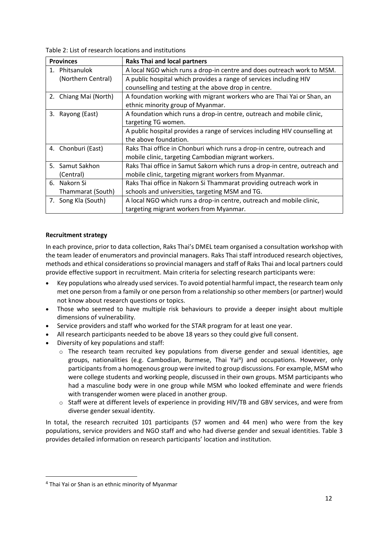Table 2: List of research locations and institutions

| <b>Provinces</b>      | <b>Raks Thai and local partners</b>                                         |
|-----------------------|-----------------------------------------------------------------------------|
| 1. Phitsanulok        | A local NGO which runs a drop-in centre and does outreach work to MSM.      |
| (Northern Central)    | A public hospital which provides a range of services including HIV          |
|                       | counselling and testing at the above drop in centre.                        |
| 2. Chiang Mai (North) | A foundation working with migrant workers who are Thai Yai or Shan, an      |
|                       | ethnic minority group of Myanmar.                                           |
| 3. Rayong (East)      | A foundation which runs a drop-in centre, outreach and mobile clinic,       |
|                       | targeting TG women.                                                         |
|                       | A public hospital provides a range of services including HIV counselling at |
|                       | the above foundation.                                                       |
| 4. Chonburi (East)    | Raks Thai office in Chonburi which runs a drop-in centre, outreach and      |
|                       | mobile clinic, targeting Cambodian migrant workers.                         |
| 5. Samut Sakhon       | Raks Thai office in Samut Sakorn which runs a drop-in centre, outreach and  |
| (Central)             | mobile clinic, targeting migrant workers from Myanmar.                      |
| 6. Nakorn Si          | Raks Thai office in Nakorn Si Thammarat providing outreach work in          |
| Thammarat (South)     | schools and universities, targeting MSM and TG.                             |
| 7. Song Kla (South)   | A local NGO which runs a drop-in centre, outreach and mobile clinic,        |
|                       | targeting migrant workers from Myanmar.                                     |

#### <span id="page-11-0"></span>**Recruitment strategy**

In each province, prior to data collection, Raks Thai's DMEL team organised a consultation workshop with the team leader of enumerators and provincial managers. Raks Thai staff introduced research objectives, methods and ethical considerations so provincial managers and staff of Raks Thai and local partners could provide effective support in recruitment. Main criteria for selecting research participants were:

- Key populations who already used services. To avoid potential harmful impact, the research team only met one person from a family or one person from a relationship so other members (or partner) would not know about research questions or topics.
- Those who seemed to have multiple risk behaviours to provide a deeper insight about multiple dimensions of vulnerability.
- Service providers and staff who worked for the STAR program for at least one year.
- All research participants needed to be above 18 years so they could give full consent.
- Diversity of key populations and staff:
	- $\circ$  The research team recruited key populations from diverse gender and sexual identities, age groups, nationalities (e.g. Cambodian, Burmese, Thai Yai<sup>4</sup>) and occupations. However, only participants from a homogenous group were invited to group discussions. For example, MSM who were college students and working people, discussed in their own groups. MSM participants who had a masculine body were in one group while MSM who looked effeminate and were friends with transgender women were placed in another group.
	- o Staff were at different levels of experience in providing HIV/TB and GBV services, and were from diverse gender sexual identity.

In total, the research recruited 101 participants (57 women and 44 men) who were from the key populations, service providers and NGO staff and who had diverse gender and sexual identities. Table 3 provides detailed information on research participants' location and institution.

<sup>4</sup> Thai Yai or Shan is an ethnic minority of Myanmar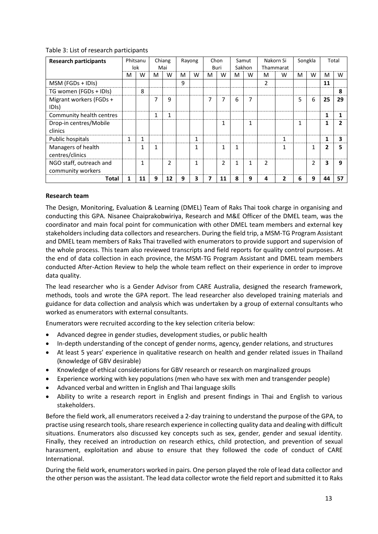| <b>Research participants</b>                 |   | Phitsanu<br>lok |              | Chiang<br>Mai |   | Rayong |   | Chon<br>Buri |   | Samut<br>Sakhon |                | Nakorn Si<br>Thammarat |   | Songkla        |    | Total |
|----------------------------------------------|---|-----------------|--------------|---------------|---|--------|---|--------------|---|-----------------|----------------|------------------------|---|----------------|----|-------|
|                                              | м | W               | M            | W             | M | w      | M | W            | м | W               | м              | W                      | M | W              | M  | W     |
| MSM (FGDs + IDIs)                            |   |                 |              |               | 9 |        |   |              |   |                 | $\overline{2}$ |                        |   |                | 11 |       |
| TG women (FGDs + IDIs)                       |   | 8               |              |               |   |        |   |              |   |                 |                |                        |   |                |    | 8     |
| Migrant workers (FGDs +                      |   |                 | 7            | 9             |   |        | 7 | 7            | 6 | 7               |                |                        | 5 | 6              | 25 | 29    |
| IDI <sub>s</sub> )                           |   |                 |              |               |   |        |   |              |   |                 |                |                        |   |                |    |       |
| Community health centres                     |   |                 | 1            | 1             |   |        |   |              |   |                 |                |                        |   |                | 1  |       |
| Drop-in centres/Mobile<br>clinics            |   |                 |              |               |   |        |   | 1            |   | $\mathbf{1}$    |                |                        | 1 |                |    |       |
| Public hospitals                             | 1 |                 |              |               |   | 1      |   |              |   |                 |                | 1                      |   |                | 1  | 3     |
| Managers of health<br>centres/clinics        |   |                 | $\mathbf{1}$ |               |   | 1      |   | 1            | 1 |                 |                |                        |   | $\mathbf{1}$   | 2  | 5     |
| NGO staff, outreach and<br>community workers |   |                 |              | 2             |   | 1      |   | 2            | 1 |                 | $\mathfrak z$  |                        |   | $\overline{2}$ | 3  | q     |
| Total                                        | 1 | 11              | 9            | 12            | 9 | 3      |   | 11           | 8 | 9               | 4              |                        | 6 | 9              | 44 | 57    |

#### Table 3: List of research participants

#### <span id="page-12-0"></span>**Research team**

The Design, Monitoring, Evaluation & Learning (DMEL) Team of Raks Thai took charge in organising and conducting this GPA. Nisanee Chaiprakobwiriya, Research and M&E Officer of the DMEL team, was the coordinator and main focal point for communication with other DMEL team members and external key stakeholders including data collectors and researchers. During the field trip, a MSM-TG Program Assistant and DMEL team members of Raks Thai travelled with enumerators to provide support and supervision of the whole process. This team also reviewed transcripts and field reports for quality control purposes. At the end of data collection in each province, the MSM-TG Program Assistant and DMEL team members conducted After-Action Review to help the whole team reflect on their experience in order to improve data quality.

The lead researcher who is a Gender Advisor from CARE Australia, designed the research framework, methods, tools and wrote the GPA report. The lead researcher also developed training materials and guidance for data collection and analysis which was undertaken by a group of external consultants who worked as enumerators with external consultants.

Enumerators were recruited according to the key selection criteria below:

- Advanced degree in gender studies, development studies, or public health
- In-depth understanding of the concept of gender norms, agency, gender relations, and structures
- At least 5 years' experience in qualitative research on health and gender related issues in Thailand (knowledge of GBV desirable)
- Knowledge of ethical considerations for GBV research or research on marginalized groups
- Experience working with key populations (men who have sex with men and transgender people)
- Advanced verbal and written in English and Thai language skills
- Ability to write a research report in English and present findings in Thai and English to various stakeholders.

Before the field work, all enumerators received a 2-day training to understand the purpose of the GPA, to practise using research tools, share research experience in collecting quality data and dealing with difficult situations. Enumerators also discussed key concepts such as sex, gender, gender and sexual identity. Finally, they received an introduction on research ethics, child protection, and prevention of sexual harassment, exploitation and abuse to ensure that they followed the code of conduct of CARE International.

During the field work, enumerators worked in pairs. One person played the role of lead data collector and the other person was the assistant. The lead data collector wrote the field report and submitted it to Raks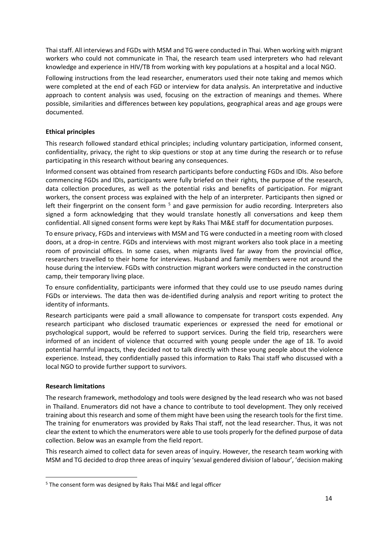Thai staff. All interviews and FGDs with MSM and TG were conducted in Thai. When working with migrant workers who could not communicate in Thai, the research team used interpreters who had relevant knowledge and experience in HIV/TB from working with key populations at a hospital and a local NGO.

Following instructions from the lead researcher, enumerators used their note taking and memos which were completed at the end of each FGD or interview for data analysis. An interpretative and inductive approach to content analysis was used, focusing on the extraction of meanings and themes. Where possible, similarities and differences between key populations, geographical areas and age groups were documented.

#### <span id="page-13-0"></span>**Ethical principles**

This research followed standard ethical principles; including voluntary participation, informed consent, confidentiality, privacy, the right to skip questions or stop at any time during the research or to refuse participating in this research without bearing any consequences.

Informed consent was obtained from research participants before conducting FGDs and IDIs. Also before commencing FGDs and IDIs, participants were fully briefed on their rights, the purpose of the research, data collection procedures, as well as the potential risks and benefits of participation. For migrant workers, the consent process was explained with the help of an interpreter. Participants then signed or left their fingerprint on the consent form  $5$  and gave permission for audio recording. Interpreters also signed a form acknowledging that they would translate honestly all conversations and keep them confidential. All signed consent forms were kept by Raks Thai M&E staff for documentation purposes.

To ensure privacy, FGDs and interviews with MSM and TG were conducted in a meeting room with closed doors, at a drop-in centre. FGDs and interviews with most migrant workers also took place in a meeting room of provincial offices. In some cases, when migrants lived far away from the provincial office, researchers travelled to their home for interviews. Husband and family members were not around the house during the interview. FGDs with construction migrant workers were conducted in the construction camp, their temporary living place.

To ensure confidentiality, participants were informed that they could use to use pseudo names during FGDs or interviews. The data then was de-identified during analysis and report writing to protect the identity of informants.

Research participants were paid a small allowance to compensate for transport costs expended. Any research participant who disclosed traumatic experiences or expressed the need for emotional or psychological support, would be referred to support services. During the field trip, researchers were informed of an incident of violence that occurred with young people under the age of 18. To avoid potential harmful impacts, they decided not to talk directly with these young people about the violence experience. Instead, they confidentially passed this information to Raks Thai staff who discussed with a local NGO to provide further support to survivors.

#### <span id="page-13-1"></span>**Research limitations**

The research framework, methodology and tools were designed by the lead research who was not based in Thailand. Enumerators did not have a chance to contribute to tool development. They only received training about this research and some of them might have been using the research tools for the first time. The training for enumerators was provided by Raks Thai staff, not the lead researcher. Thus, it was not clear the extent to which the enumerators were able to use tools properly for the defined purpose of data collection. Below was an example from the field report.

This research aimed to collect data for seven areas of inquiry. However, the research team working with MSM and TG decided to drop three areas of inquiry 'sexual gendered division of labour', 'decision making

<sup>5</sup> The consent form was designed by Raks Thai M&E and legal officer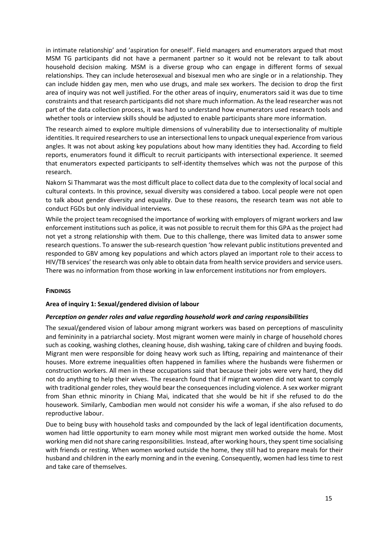in intimate relationship' and 'aspiration for oneself'. Field managers and enumerators argued that most MSM TG participants did not have a permanent partner so it would not be relevant to talk about household decision making. MSM is a diverse group who can engage in different forms of sexual relationships. They can include heterosexual and bisexual men who are single or in a relationship. They can include hidden gay men, men who use drugs, and male sex workers. The decision to drop the first area of inquiry was not well justified. For the other areas of inquiry, enumerators said it was due to time constraints and that research participants did notshare much information. As the lead researcher was not part of the data collection process, it was hard to understand how enumerators used research tools and whether tools or interview skills should be adjusted to enable participants share more information.

The research aimed to explore multiple dimensions of vulnerability due to intersectionality of multiple identities. It required researchers to use an intersectional lens to unpack unequal experience from various angles. It was not about asking key populations about how many identities they had. According to field reports, enumerators found it difficult to recruit participants with intersectional experience. It seemed that enumerators expected participants to self-identity themselves which was not the purpose of this research.

Nakorn Si Thammarat was the most difficult place to collect data due to the complexity of local social and cultural contexts. In this province, sexual diversity was considered a taboo. Local people were not open to talk about gender diversity and equality. Due to these reasons, the research team was not able to conduct FGDs but only individual interviews.

While the project team recognised the importance of working with employers of migrant workers and law enforcement institutions such as police, it was not possible to recruit them for this GPA as the project had not yet a strong relationship with them. Due to this challenge, there was limited data to answer some research questions. To answer the sub-research question 'how relevant public institutions prevented and responded to GBV among key populations and which actors played an important role to their access to HIV/TB services' the research was only able to obtain data from health service providers and service users. There was no information from those working in law enforcement institutions nor from employers.

#### <span id="page-14-0"></span>**FINDINGS**

#### <span id="page-14-1"></span>**Area of inquiry 1: Sexual/gendered division of labour**

#### *Perception on gender roles and value regarding household work and caring responsibilities*

The sexual/gendered vision of labour among migrant workers was based on perceptions of masculinity and femininity in a patriarchal society. Most migrant women were mainly in charge of household chores such as cooking, washing clothes, cleaning house, dish washing, taking care of children and buying foods. Migrant men were responsible for doing heavy work such as lifting, repairing and maintenance of their houses. More extreme inequalities often happened in families where the husbands were fishermen or construction workers. All men in these occupations said that because their jobs were very hard, they did not do anything to help their wives. The research found that if migrant women did not want to comply with traditional gender roles, they would bear the consequences including violence. A sex worker migrant from Shan ethnic minority in Chiang Mai, indicated that she would be hit if she refused to do the housework. Similarly, Cambodian men would not consider his wife a woman, if she also refused to do reproductive labour.

Due to being busy with household tasks and compounded by the lack of legal identification documents, women had little opportunity to earn money while most migrant men worked outside the home. Most working men did not share caring responsibilities. Instead, after working hours, they spent time socialising with friends or resting. When women worked outside the home, they still had to prepare meals for their husband and children in the early morning and in the evening. Consequently, women had less time to rest and take care of themselves.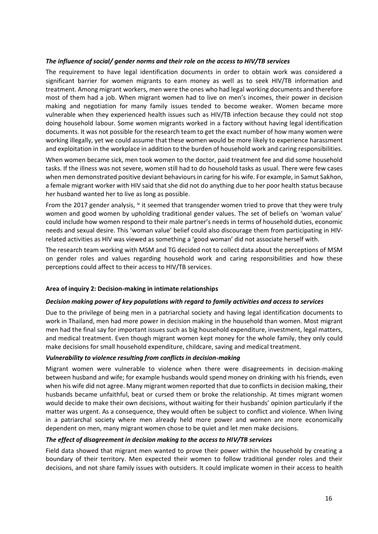#### *The influence of social/ gender norms and their role on the access to HIV/TB services*

The requirement to have legal identification documents in order to obtain work was considered a significant barrier for women migrants to earn money as well as to seek HIV/TB information and treatment. Among migrant workers, men were the ones who had legal working documents and therefore most of them had a job. When migrant women had to live on men's incomes, their power in decision making and negotiation for many family issues tended to become weaker. Women became more vulnerable when they experienced health issues such as HIV/TB infection because they could not stop doing household labour. Some women migrants worked in a factory without having legal identification documents. It was not possible for the research team to get the exact number of how many women were working illegally, yet we could assume that these women would be more likely to experience harassment and exploitation in the workplace in addition to the burden of household work and caring responsibilities.

When women became sick, men took women to the doctor, paid treatment fee and did some household tasks. If the illness was not severe, women still had to do household tasks as usual. There were few cases when men demonstrated positive deviant behaviours in caring for his wife. For example, in Samut Sakhon, a female migrant worker with HIV said that she did not do anything due to her poor health status because her husband wanted her to live as long as possible.

From the 2017 gender analysis,  $iv$  it seemed that transgender women tried to prove that they were truly women and good women by upholding traditional gender values. The set of beliefs on 'woman value' could include how women respond to their male partner's needs in terms of household duties, economic needs and sexual desire. This 'woman value' belief could also discourage them from participating in HIVrelated activities as HIV was viewed as something a 'good woman' did not associate herself with.

The research team working with MSM and TG decided not to collect data about the perceptions of MSM on gender roles and values regarding household work and caring responsibilities and how these perceptions could affect to their access to HIV/TB services.

#### <span id="page-15-0"></span>**Area of inquiry 2: Decision-making in intimate relationships**

#### *Decision making power of key populations with regard to family activities and access to services*

Due to the privilege of being men in a patriarchal society and having legal identification documents to work in Thailand, men had more power in decision making in the household than women. Most migrant men had the final say for important issues such as big household expenditure, investment, legal matters, and medical treatment. Even though migrant women kept money for the whole family, they only could make decisions for small household expenditure, childcare, saving and medical treatment.

#### *Vulnerability to violence resulting from conflicts in decision-making*

Migrant women were vulnerable to violence when there were disagreements in decision-making between husband and wife; for example husbands would spend money on drinking with his friends, even when his wife did not agree. Many migrant women reported that due to conflicts in decision making, their husbands became unfaithful, beat or cursed them or broke the relationship. At times migrant women would decide to make their own decisions, without waiting for their husbands' opinion particularly if the matter was urgent. As a consequence, they would often be subject to conflict and violence. When living in a patriarchal society where men already held more power and women are more economically dependent on men, many migrant women chose to be quiet and let men make decisions.

#### *The effect of disagreement in decision making to the access to HIV/TB services*

Field data showed that migrant men wanted to prove their power within the household by creating a boundary of their territory. Men expected their women to follow traditional gender roles and their decisions, and not share family issues with outsiders. It could implicate women in their access to health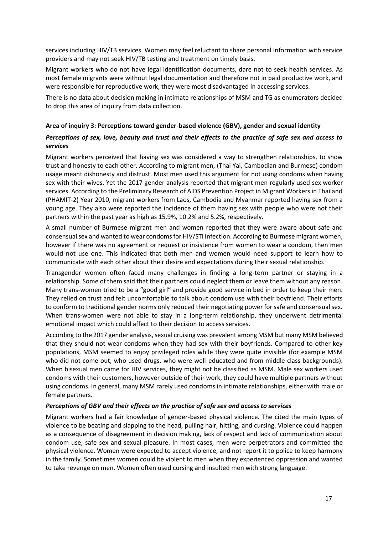services including HIV/TB services. Women may feel reluctant to share personal information with service providers and may not seek HIV/TB testing and treatment on timely basis.

Migrant workers who do not have legal identification documents, dare not to seek health services. As most female migrants were without legal documentation and therefore not in paid productive work, and were responsible for reproductive work, they were most disadvantaged in accessing services.

There is no data about decision making in intimate relationships of MSM and TG as enumerators decided to drop this area of inquiry from data collection.

#### <span id="page-16-0"></span>**Area of inquiry 3: Perceptions toward gender-based violence (GBV), gender and sexual identity**

#### *Perceptions of sex, love, beauty and trust and their effects to the practice of safe sex and access to services*

Migrant workers perceived that having sex was considered a way to strengthen relationships, to show trust and honesty to each other. According to migrant men, (Thai Yai, Cambodian and Burmese) condom usage meant dishonesty and distrust. Most men used this argument for not using condoms when having sex with their wives. Yet the 2017 gender analysis reported that migrant men regularly used sex worker services. According to the Preliminary Research of AIDS Prevention Project in Migrant Workers in Thailand (PHAMIT-2) Year 2010, migrant workers from Laos, Cambodia and Myanmar reported having sex from a young age. They also were reported the incidence of them having sex with people who were not their partners within the past year as high as 15.9%, 10.2% and 5.2%, respectively.

A small number of Burmese migrant men and women reported that they were aware about safe and consensual sex and wanted to wear condoms for HIV/STI infection. According to Burmese migrant women, however if there was no agreement or request or insistence from women to wear a condom, then men would not use one. This indicated that both men and women would need support to learn how to communicate with each other about their desire and expectations during their sexual relationship.

Transgender women often faced many challenges in finding a long-term partner or staying in a relationship. Some of them said that their partners could neglect them or leave them without any reason. Many trans-women tried to be a "good girl" and provide good service in bed in order to keep their men. They relied on trust and felt uncomfortable to talk about condom use with their boyfriend. Their efforts to conform to traditional gender norms only reduced their negotiating power for safe and consensual sex. When trans-women were not able to stay in a long-term relationship, they underwent detrimental emotional impact which could affect to their decision to access services.

According to the 2017 gender analysis, sexual cruising was prevalent among MSM but many MSM believed that they should not wear condoms when they had sex with their boyfriends. Compared to other key populations, MSM seemed to enjoy privileged roles while they were quite invisible (for example MSM who did not come out, who used drugs, who were well-educated and from middle class backgrounds). When bisexual men came for HIV services, they might not be classified as MSM. Male sex workers used condoms with their customers, however outside of their work, they could have multiple partners without using condoms. In general, many MSM rarely used condoms in intimate relationships, either with male or female partners.

#### *Perceptions of GBV and their effects on the practice of safe sex and access to services*

Migrant workers had a fair knowledge of gender-based physical violence. The cited the main types of violence to be beating and slapping to the head, pulling hair, hitting, and cursing. Violence could happen as a consequence of disagreement in decision making, lack of respect and lack of communication about condom use, safe sex and sexual pleasure. In most cases, men were perpetrators and committed the physical violence. Women were expected to accept violence, and not report it to police to keep harmony in the family. Sometimes women could be violent to men when they experienced oppression and wanted to take revenge on men. Women often used cursing and insulted men with strong language.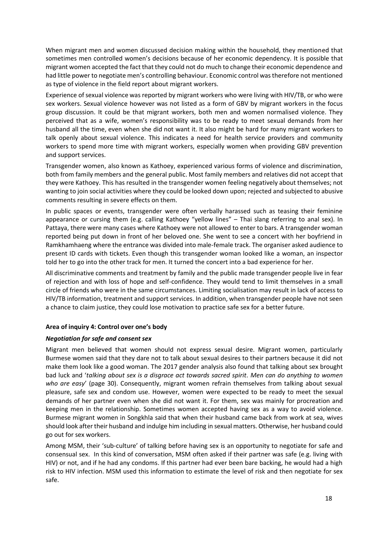When migrant men and women discussed decision making within the household, they mentioned that sometimes men controlled women's decisions because of her economic dependency. It is possible that migrant women accepted the fact that they could not do much to change their economic dependence and had little power to negotiate men's controlling behaviour. Economic control was therefore not mentioned as type of violence in the field report about migrant workers.

Experience of sexual violence was reported by migrant workers who were living with HIV/TB, or who were sex workers. Sexual violence however was not listed as a form of GBV by migrant workers in the focus group discussion. It could be that migrant workers, both men and women normalised violence. They perceived that as a wife, women's responsibility was to be ready to meet sexual demands from her husband all the time, even when she did not want it. It also might be hard for many migrant workers to talk openly about sexual violence. This indicates a need for health service providers and community workers to spend more time with migrant workers, especially women when providing GBV prevention and support services.

Transgender women, also known as Kathoey, experienced various forms of violence and discrimination, both from family members and the general public. Most family members and relatives did not accept that they were Kathoey. This has resulted in the transgender women feeling negatively about themselves; not wanting to join social activities where they could be looked down upon; rejected and subjected to abusive comments resulting in severe effects on them.

In public spaces or events, transgender were often verbally harassed such as teasing their feminine appearance or cursing them (e.g. calling Kathoey "yellow lines" – Thai slang referring to anal sex). In Pattaya, there were many cases where Kathoey were not allowed to enter to bars. A transgender woman reported being put down in front of her beloved one. She went to see a concert with her boyfriend in Ramkhamhaeng where the entrance was divided into male-female track. The organiser asked audience to present ID cards with tickets. Even though this transgender woman looked like a woman, an inspector told her to go into the other track for men. It turned the concert into a bad experience for her.

All discriminative comments and treatment by family and the public made transgender people live in fear of rejection and with loss of hope and self-confidence. They would tend to limit themselves in a small circle of friends who were in the same circumstances. Limiting socialisation may result in lack of access to HIV/TB information, treatment and support services. In addition, when transgender people have not seen a chance to claim justice, they could lose motivation to practice safe sex for a better future.

#### <span id="page-17-0"></span>**Area of inquiry 4: Control over one's body**

#### *Negotiation for safe and consent sex*

Migrant men believed that women should not express sexual desire. Migrant women, particularly Burmese women said that they dare not to talk about sexual desires to their partners because it did not make them look like a good woman. The 2017 gender analysis also found that talking about sex brought bad luck and '*talking about sex is a disgrace act towards sacred spirit. Men can do anything to women who are easy*' (page 30). Consequently, migrant women refrain themselves from talking about sexual pleasure, safe sex and condom use. However, women were expected to be ready to meet the sexual demands of her partner even when she did not want it. For them, sex was mainly for procreation and keeping men in the relationship. Sometimes women accepted having sex as a way to avoid violence. Burmese migrant women in Songkhla said that when their husband came back from work at sea, wives should look after their husband and indulge him including in sexual matters. Otherwise, her husband could go out for sex workers.

Among MSM, their 'sub-culture' of talking before having sex is an opportunity to negotiate for safe and consensual sex. In this kind of conversation, MSM often asked if their partner was safe (e.g. living with HIV) or not, and if he had any condoms. If this partner had ever been bare backing, he would had a high risk to HIV infection. MSM used this information to estimate the level of risk and then negotiate for sex safe.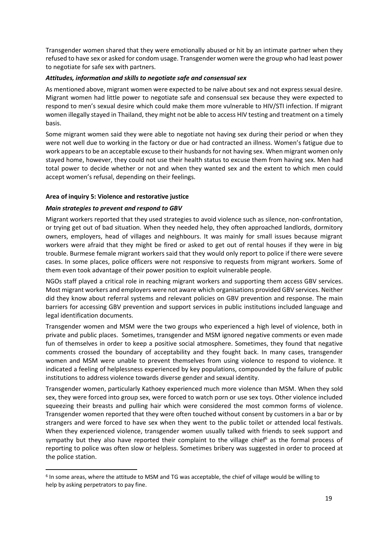Transgender women shared that they were emotionally abused or hit by an intimate partner when they refused to have sex or asked for condom usage. Transgender women were the group who had least power to negotiate for safe sex with partners.

#### *Attitudes, information and skills to negotiate safe and consensual sex*

As mentioned above, migrant women were expected to be naïve about sex and not express sexual desire. Migrant women had little power to negotiate safe and consensual sex because they were expected to respond to men's sexual desire which could make them more vulnerable to HIV/STI infection. If migrant women illegally stayed in Thailand, they might not be able to access HIV testing and treatment on a timely basis.

Some migrant women said they were able to negotiate not having sex during their period or when they were not well due to working in the factory or due or had contracted an illness. Women's fatigue due to work appears to be an acceptable excuse to their husbands for not having sex. When migrant women only stayed home, however, they could not use their health status to excuse them from having sex. Men had total power to decide whether or not and when they wanted sex and the extent to which men could accept women's refusal, depending on their feelings.

#### <span id="page-18-0"></span>**Area of inquiry 5: Violence and restorative justice**

#### *Main strategies to prevent and respond to GBV*

Migrant workers reported that they used strategies to avoid violence such as silence, non-confrontation, or trying get out of bad situation. When they needed help, they often approached landlords, dormitory owners, employers, head of villages and neighbours. It was mainly for small issues because migrant workers were afraid that they might be fired or asked to get out of rental houses if they were in big trouble. Burmese female migrant workers said that they would only report to police if there were severe cases. In some places, police officers were not responsive to requests from migrant workers. Some of them even took advantage of their power position to exploit vulnerable people.

NGOs staff played a critical role in reaching migrant workers and supporting them access GBV services. Most migrant workers and employers were not aware which organisations provided GBV services. Neither did they know about referral systems and relevant policies on GBV prevention and response. The main barriers for accessing GBV prevention and support services in public institutions included language and legal identification documents.

Transgender women and MSM were the two groups who experienced a high level of violence, both in private and public places. Sometimes, transgender and MSM ignored negative comments or even made fun of themselves in order to keep a positive social atmosphere. Sometimes, they found that negative comments crossed the boundary of acceptability and they fought back. In many cases, transgender women and MSM were unable to prevent themselves from using violence to respond to violence. It indicated a feeling of helplessness experienced by key populations, compounded by the failure of public institutions to address violence towards diverse gender and sexual identity.

Transgender women, particularly Kathoey experienced much more violence than MSM. When they sold sex, they were forced into group sex, were forced to watch porn or use sex toys. Other violence included squeezing their breasts and pulling hair which were considered the most common forms of violence. Transgender women reported that they were often touched without consent by customers in a bar or by strangers and were forced to have sex when they went to the public toilet or attended local festivals. When they experienced violence, transgender women usually talked with friends to seek support and sympathy but they also have reported their complaint to the village chief<sup>6</sup> as the formal process of reporting to police was often slow or helpless. Sometimes bribery was suggested in order to proceed at the police station.

<sup>&</sup>lt;sup>6</sup> In some areas, where the attitude to MSM and TG was acceptable, the chief of village would be willing to help by asking perpetrators to pay fine.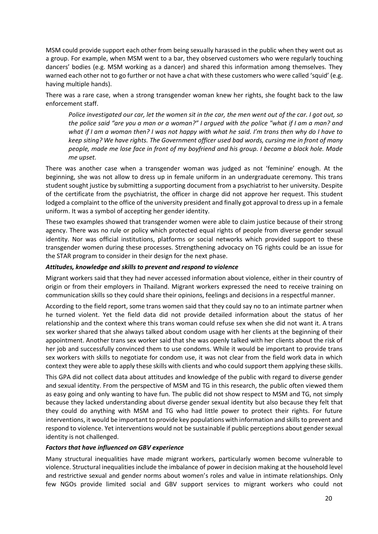MSM could provide support each other from being sexually harassed in the public when they went out as a group. For example, when MSM went to a bar, they observed customers who were regularly touching dancers' bodies (e.g. MSM working as a dancer) and shared this information among themselves. They warned each other not to go further or not have a chat with these customers who were called 'squid' (e.g. having multiple hands).

There was a rare case, when a strong transgender woman knew her rights, she fought back to the law enforcement staff.

*Police investigated our car, let the women sit in the car, the men went out of the car. I got out, so the police said "are you a man or a woman?" I argued with the police "what if I am a man? and what if I am a woman then? I was not happy with what he said. I'm trans then why do I have to keep siting? We have rights. The Government officer used bad words, cursing me in front of many people, made me lose face in front of my boyfriend and his group. I became a black hole. Made me upset.*

There was another case when a transgender woman was judged as not 'feminine' enough. At the beginning, she was not allow to dress up in female uniform in an undergraduate ceremony. This trans student sought justice by submitting a supporting document from a psychiatrist to her university. Despite of the certificate from the psychiatrist, the officer in charge did not approve her request. This student lodged a complaint to the office of the university president and finally got approval to dress up in a female uniform. It was a symbol of accepting her gender identity.

These two examples showed that transgender women were able to claim justice because of their strong agency. There was no rule or policy which protected equal rights of people from diverse gender sexual identity. Nor was official institutions, platforms or social networks which provided support to these transgender women during these processes. Strengthening advocacy on TG rights could be an issue for the STAR program to consider in their design for the next phase.

#### *Attitudes, knowledge and skills to prevent and respond to violence*

Migrant workers said that they had never accessed information about violence, either in their country of origin or from their employers in Thailand. Migrant workers expressed the need to receive training on communication skills so they could share their opinions, feelings and decisions in a respectful manner.

According to the field report, some trans women said that they could say no to an intimate partner when he turned violent. Yet the field data did not provide detailed information about the status of her relationship and the context where this trans woman could refuse sex when she did not want it. A trans sex worker shared that she always talked about condom usage with her clients at the beginning of their appointment. Another trans sex worker said that she was openly talked with her clients about the risk of her job and successfully convinced them to use condoms. While it would be important to provide trans sex workers with skills to negotiate for condom use, it was not clear from the field work data in which context they were able to apply these skills with clients and who could support them applying these skills.

This GPA did not collect data about attitudes and knowledge of the public with regard to diverse gender and sexual identity. From the perspective of MSM and TG in this research, the public often viewed them as easy going and only wanting to have fun. The public did not show respect to MSM and TG, not simply because they lacked understanding about diverse gender sexual identity but also because they felt that they could do anything with MSM and TG who had little power to protect their rights. For future interventions, it would be important to provide key populations with information and skills to prevent and respond to violence. Yet interventions would not be sustainable if public perceptions about gender sexual identity is not challenged.

#### *Factors that have influenced on GBV experience*

Many structural inequalities have made migrant workers, particularly women become vulnerable to violence. Structural inequalities include the imbalance of power in decision making at the household level and restrictive sexual and gender norms about women's roles and value in intimate relationships. Only few NGOs provide limited social and GBV support services to migrant workers who could not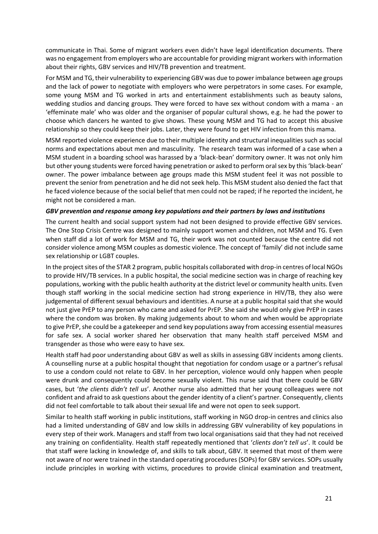communicate in Thai. Some of migrant workers even didn't have legal identification documents. There was no engagement from employers who are accountable for providing migrant workers with information about their rights, GBV services and HIV/TB prevention and treatment.

For MSM and TG, their vulnerability to experiencing GBV was due to power imbalance between age groups and the lack of power to negotiate with employers who were perpetrators in some cases. For example, some young MSM and TG worked in arts and entertainment establishments such as beauty salons, wedding studios and dancing groups. They were forced to have sex without condom with a mama - an 'effeminate male' who was older and the organiser of popular cultural shows, e.g. he had the power to choose which dancers he wanted to give shows. These young MSM and TG had to accept this abusive relationship so they could keep their jobs. Later, they were found to get HIV infection from this mama.

MSM reported violence experience due to their multiple identity and structural inequalities such as social norms and expectations about men and masculinity. The research team was informed of a case when a MSM student in a boarding school was harassed by a 'black-bean' dormitory owner. It was not only him but other young students were forced having penetration or asked to perform oral sex by this 'black-bean' owner. The power imbalance between age groups made this MSM student feel it was not possible to prevent the senior from penetration and he did not seek help. This MSM student also denied the fact that he faced violence because of the social belief that men could not be raped; if he reported the incident, he might not be considered a man.

#### *GBV prevention and response among key populations and their partners by laws and institutions*

The current health and social support system had not been designed to provide effective GBV services. The One Stop Crisis Centre was designed to mainly support women and children, not MSM and TG. Even when staff did a lot of work for MSM and TG, their work was not counted because the centre did not consider violence among MSM couples as domestic violence. The concept of 'family' did not include same sex relationship or LGBT couples.

In the project sites of the STAR 2 program, public hospitals collaborated with drop-in centres of local NGOs to provide HIV/TB services. In a public hospital, the social medicine section was in charge of reaching key populations, working with the public health authority at the district level or community health units. Even though staff working in the social medicine section had strong experience in HIV/TB, they also were judgemental of different sexual behaviours and identities. A nurse at a public hospital said that she would not just give PrEP to any person who came and asked for PrEP. She said she would only give PrEP in cases where the condom was broken. By making judgements about to whom and when would be appropriate to give PrEP, she could be a gatekeeper and send key populations away from accessing essential measures for safe sex. A social worker shared her observation that many health staff perceived MSM and transgender as those who were easy to have sex.

Health staff had poor understanding about GBV as well as skills in assessing GBV incidents among clients. A counselling nurse at a public hospital thought that negotiation for condom usage or a partner's refusal to use a condom could not relate to GBV. In her perception, violence would only happen when people were drunk and consequently could become sexually violent. This nurse said that there could be GBV cases, but '*the clients didn't tell us*'. Another nurse also admitted that her young colleagues were not confident and afraid to ask questions about the gender identity of a client's partner. Consequently, clients did not feel comfortable to talk about their sexual life and were not open to seek support.

Similar to health staff working in public institutions, staff working in NGO drop-in centres and clinics also had a limited understanding of GBV and low skills in addressing GBV vulnerability of key populations in every step of their work. Managers and staff from two local organisations said that they had not received any training on confidentiality. Health staff repeatedly mentioned that '*clients don't tell us*'. It could be that staff were lacking in knowledge of, and skills to talk about, GBV. It seemed that most of them were not aware of nor were trained in the standard operating procedures (SOPs) for GBV services. SOPs usually include principles in working with victims, procedures to provide clinical examination and treatment,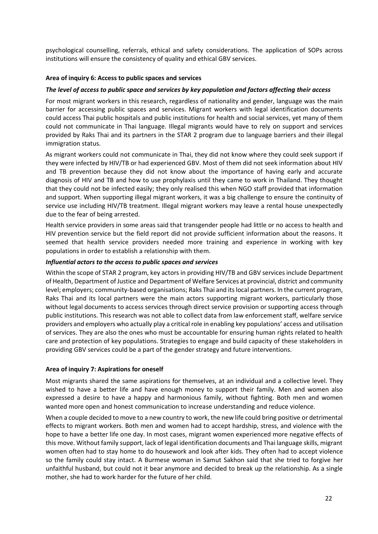psychological counselling, referrals, ethical and safety considerations. The application of SOPs across institutions will ensure the consistency of quality and ethical GBV services.

#### <span id="page-21-0"></span>**Area of inquiry 6: Access to public spaces and services**

#### *The level of access to public space and services by key population and factors affecting their access*

For most migrant workers in this research, regardless of nationality and gender, language was the main barrier for accessing public spaces and services. Migrant workers with legal identification documents could access Thai public hospitals and public institutions for health and social services, yet many of them could not communicate in Thai language. Illegal migrants would have to rely on support and services provided by Raks Thai and its partners in the STAR 2 program due to language barriers and their illegal immigration status.

As migrant workers could not communicate in Thai, they did not know where they could seek support if they were infected by HIV/TB or had experienced GBV. Most of them did not seek information about HIV and TB prevention because they did not know about the importance of having early and accurate diagnosis of HIV and TB and how to use prophylaxis until they came to work in Thailand. They thought that they could not be infected easily; they only realised this when NGO staff provided that information and support. When supporting illegal migrant workers, it was a big challenge to ensure the continuity of service use including HIV/TB treatment. Illegal migrant workers may leave a rental house unexpectedly due to the fear of being arrested.

Health service providers in some areas said that transgender people had little or no access to health and HIV prevention service but the field report did not provide sufficient information about the reasons. It seemed that health service providers needed more training and experience in working with key populations in order to establish a relationship with them.

#### *Influential actors to the access to public spaces and services*

Within the scope of STAR 2 program, key actors in providing HIV/TB and GBV services include Department of Health, Department of Justice and Department of Welfare Services at provincial, district and community level; employers; community-based organisations; Raks Thai and its local partners. In the current program, Raks Thai and its local partners were the main actors supporting migrant workers, particularly those without legal documents to access services through direct service provision or supporting access through public institutions. This research was not able to collect data from law enforcement staff, welfare service providers and employers who actually play a critical role in enabling key populations' access and utilisation of services. They are also the ones who must be accountable for ensuring human rights related to health care and protection of key populations. Strategies to engage and build capacity of these stakeholders in providing GBV services could be a part of the gender strategy and future interventions.

#### <span id="page-21-1"></span>**Area of inquiry 7: Aspirations for oneself**

Most migrants shared the same aspirations for themselves, at an individual and a collective level. They wished to have a better life and have enough money to support their family. Men and women also expressed a desire to have a happy and harmonious family, without fighting. Both men and women wanted more open and honest communication to increase understanding and reduce violence.

When a couple decided to move to a new country to work, the new life could bring positive or detrimental effects to migrant workers. Both men and women had to accept hardship, stress, and violence with the hope to have a better life one day. In most cases, migrant women experienced more negative effects of this move. Without family support, lack of legal identification documents and Thai language skills, migrant women often had to stay home to do housework and look after kids. They often had to accept violence so the family could stay intact. A Burmese woman in Samut Sakhon said that she tried to forgive her unfaithful husband, but could not it bear anymore and decided to break up the relationship. As a single mother, she had to work harder for the future of her child.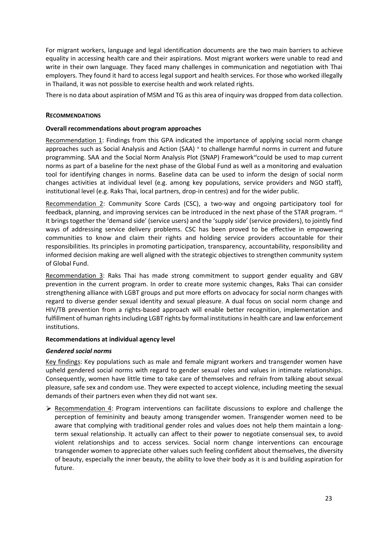For migrant workers, language and legal identification documents are the two main barriers to achieve equality in accessing health care and their aspirations. Most migrant workers were unable to read and write in their own language. They faced many challenges in communication and negotiation with Thai employers. They found it hard to access legal support and health services. For those who worked illegally in Thailand, it was not possible to exercise health and work related rights.

There is no data about aspiration of MSM and TG as this area of inquiry was dropped from data collection.

#### <span id="page-22-0"></span>**RECOMMENDATIONS**

#### <span id="page-22-1"></span>**Overall recommendations about program approaches**

Recommendation 1: Findings from this GPA indicated the importance of applying social norm change approaches such as Social Analysis and Action (SAA) v to challenge harmful norms in current and future programming. SAA and the Social Norm Analysis Plot (SNAP) Framework<sup>vi</sup>could be used to map current norms as part of a baseline for the next phase of the Global Fund as well as a monitoring and evaluation tool for identifying changes in norms. Baseline data can be used to inform the design of social norm changes activities at individual level (e.g. among key populations, service providers and NGO staff), institutional level (e.g. Raks Thai, local partners, drop-in centres) and for the wider public.

Recommendation 2: Community Score Cards (CSC), a two-way and ongoing participatory tool for feedback, planning, and improving services can be introduced in the next phase of the STAR program. Vii It brings together the 'demand side' (service users) and the 'supply side' (service providers), to jointly find ways of addressing service delivery problems. CSC has been proved to be effective in empowering communities to know and claim their rights and holding service providers accountable for their responsibilities. Its principles in promoting participation, transparency, accountability, responsibility and informed decision making are well aligned with the strategic objectives to strengthen community system of Global Fund.

Recommendation 3: Raks Thai has made strong commitment to support gender equality and GBV prevention in the current program. In order to create more systemic changes, Raks Thai can consider strengthening alliance with LGBT groups and put more efforts on advocacy for social norm changes with regard to diverse gender sexual identity and sexual pleasure. A dual focus on social norm change and HIV/TB prevention from a rights-based approach will enable better recognition, implementation and fulfillment of human rights including LGBT rights by formal institutions in health care and law enforcement institutions.

#### <span id="page-22-2"></span>**Recommendations at individual agency level**

#### *Gendered social norms*

Key findings: Key populations such as male and female migrant workers and transgender women have upheld gendered social norms with regard to gender sexual roles and values in intimate relationships. Consequently, women have little time to take care of themselves and refrain from talking about sexual pleasure, safe sex and condom use. They were expected to accept violence, including meeting the sexual demands of their partners even when they did not want sex.

 $\triangleright$  Recommendation 4: Program interventions can facilitate discussions to explore and challenge the perception of femininity and beauty among transgender women. Transgender women need to be aware that complying with traditional gender roles and values does not help them maintain a longterm sexual relationship. It actually can affect to their power to negotiate consensual sex, to avoid violent relationships and to access services. Social norm change interventions can encourage transgender women to appreciate other values such feeling confident about themselves, the diversity of beauty, especially the inner beauty, the ability to love their body as it is and building aspiration for future.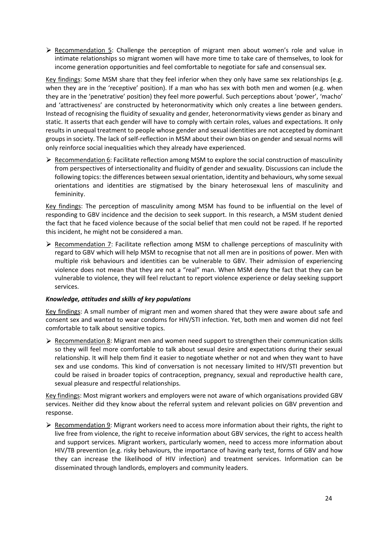$\triangleright$  Recommendation 5: Challenge the perception of migrant men about women's role and value in intimate relationships so migrant women will have more time to take care of themselves, to look for income generation opportunities and feel comfortable to negotiate for safe and consensual sex.

Key findings: Some MSM share that they feel inferior when they only have same sex relationships (e.g. when they are in the 'receptive' position). If a man who has sex with both men and women (e.g. when they are in the 'penetrative' position) they feel more powerful. Such perceptions about 'power', 'macho' and 'attractiveness' are constructed by heteronormativity which only creates a line between genders. Instead of recognising the fluidity of sexuality and gender, heteronormativity views gender as binary and static. It asserts that each gender will have to comply with certain roles, values and expectations. It only results in unequal treatment to people whose gender and sexual identities are not accepted by dominant groups in society. The lack of self-reflection in MSM about their own bias on gender and sexual norms will only reinforce social inequalities which they already have experienced.

 $\triangleright$  Recommendation 6: Facilitate reflection among MSM to explore the social construction of masculinity from perspectives of intersectionality and fluidity of gender and sexuality. Discussions can include the following topics: the differences between sexual orientation, identity and behaviours, why some sexual orientations and identities are stigmatised by the binary heterosexual lens of masculinity and femininity.

Key findings: The perception of masculinity among MSM has found to be influential on the level of responding to GBV incidence and the decision to seek support. In this research, a MSM student denied the fact that he faced violence because of the social belief that men could not be raped. If he reported this incident, he might not be considered a man.

 $\triangleright$  Recommendation 7: Facilitate reflection among MSM to challenge perceptions of masculinity with regard to GBV which will help MSM to recognise that not all men are in positions of power. Men with multiple risk behaviours and identities can be vulnerable to GBV. Their admission of experiencing violence does not mean that they are not a "real" man. When MSM deny the fact that they can be vulnerable to violence, they will feel reluctant to report violence experience or delay seeking support services.

#### *Knowledge, attitudes and skills of key populations*

Key findings: A small number of migrant men and women shared that they were aware about safe and consent sex and wanted to wear condoms for HIV/STI infection. Yet, both men and women did not feel comfortable to talk about sensitive topics.

 $\triangleright$  Recommendation 8: Migrant men and women need support to strengthen their communication skills so they will feel more comfortable to talk about sexual desire and expectations during their sexual relationship. It will help them find it easier to negotiate whether or not and when they want to have sex and use condoms. This kind of conversation is not necessary limited to HIV/STI prevention but could be raised in broader topics of contraception, pregnancy, sexual and reproductive health care, sexual pleasure and respectful relationships.

Key findings: Most migrant workers and employers were not aware of which organisations provided GBV services. Neither did they know about the referral system and relevant policies on GBV prevention and response.

 $\triangleright$  Recommendation 9: Migrant workers need to access more information about their rights, the right to live free from violence, the right to receive information about GBV services, the right to access health and support services. Migrant workers, particularly women, need to access more information about HIV/TB prevention (e.g. risky behaviours, the importance of having early test, forms of GBV and how they can increase the likelihood of HIV infection) and treatment services. Information can be disseminated through landlords, employers and community leaders.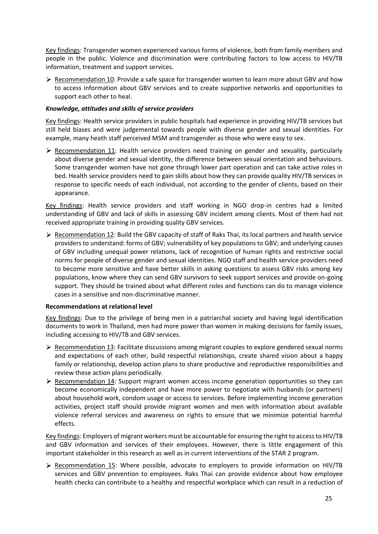Key findings: Transgender women experienced various forms of violence, both from family members and people in the public. Violence and discrimination were contributing factors to low access to HIV/TB information, treatment and support services.

 $\triangleright$  Recommendation 10: Provide a safe space for transgender women to learn more about GBV and how to access information about GBV services and to create supportive networks and opportunities to support each other to heal.

#### *Knowledge, attitudes and skills of service providers*

Key findings: Health service providers in public hospitals had experience in providing HIV/TB services but still held biases and were judgemental towards people with diverse gender and sexual identities. For example, many heath staff perceived MSM and transgender as those who were easy to sex.

Recommendation 11: Health service providers need training on gender and sexuality, particularly about diverse gender and sexual identity, the difference between sexual orientation and behaviours. Some transgender women have not gone through lower part operation and can take active roles in bed. Health service providers need to gain skills about how they can provide quality HIV/TB services in response to specific needs of each individual, not according to the gender of clients, based on their appearance.

Key findings: Health service providers and staff working in NGO drop-in centres had a limited understanding of GBV and lack of skills in assessing GBV incident among clients. Most of them had not received appropriate training in providing quality GBV services.

 $\triangleright$  Recommendation 12: Build the GBV capacity of staff of Raks Thai, its local partners and health service providers to understand: forms of GBV; vulnerability of key populations to GBV; and underlying causes of GBV including unequal power relations, lack of recognition of human rights and restrictive social norms for people of diverse gender and sexual identities. NGO staff and health service providers need to become more sensitive and have better skills in asking questions to assess GBV risks among key populations, know where they can send GBV survivors to seek support services and provide on-going support. They should be trained about what different roles and functions can do to manage violence cases in a sensitive and non-discriminative manner.

#### <span id="page-24-0"></span>**Recommendations at relational level**

Key findings: Due to the privilege of being men in a patriarchal society and having legal identification documents to work in Thailand, men had more power than women in making decisions for family issues, including accessing to HIV/TB and GBV services.

- $\triangleright$  Recommendation 13: Facilitate discussions among migrant couples to explore gendered sexual norms and expectations of each other, build respectful relationships, create shared vision about a happy family or relationship, develop action plans to share productive and reproductive responsibilities and review these action plans periodically.
- $\triangleright$  Recommendation 14: Support migrant women access income generation opportunities so they can become economically independent and have more power to negotiate with husbands (or partners) about household work, condom usage or access to services. Before implementing income generation activities, project staff should provide migrant women and men with information about available violence referral services and awareness on rights to ensure that we minimize potential harmful effects.

Key findings: Employers of migrant workers must be accountable for ensuring the right to access to HIV/TB and GBV information and services of their employees. However, there is little engagement of this important stakeholder in this research as well as in current interventions of the STAR 2 program.

 $\triangleright$  Recommendation 15: Where possible, advocate to employers to provide information on HIV/TB services and GBV prevention to employees. Raks Thai can provide evidence about how employee health checks can contribute to a healthy and respectful workplace which can result in a reduction of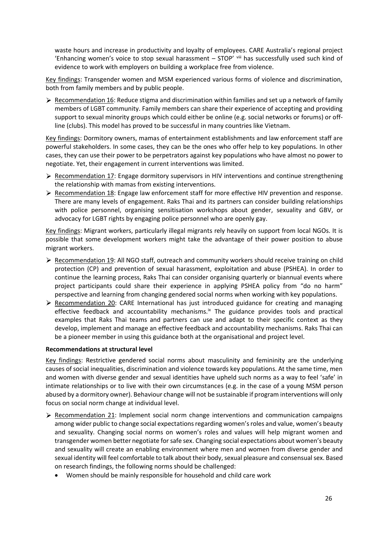waste hours and increase in productivity and loyalty of employees. CARE Australia's regional project 'Enhancing women's voice to stop sexual harassment – STOP' viii has successfully used such kind of evidence to work with employers on building a workplace free from violence.

Key findings: Transgender women and MSM experienced various forms of violence and discrimination, both from family members and by public people.

 $\triangleright$  Recommendation 16: Reduce stigma and discrimination within families and set up a network of family members of LGBT community. Family members can share their experience of accepting and providing support to sexual minority groups which could either be online (e.g. social networks or forums) or offline (clubs). This model has proved to be successful in many countries like Vietnam.

Key findings: Dormitory owners, mamas of entertainment establishments and law enforcement staff are powerful stakeholders. In some cases, they can be the ones who offer help to key populations. In other cases, they can use their power to be perpetrators against key populations who have almost no power to negotiate. Yet, their engagement in current interventions was limited.

- $\triangleright$  Recommendation 17: Engage dormitory supervisors in HIV interventions and continue strengthening the relationship with mamas from existing interventions.
- ▶ Recommendation 18: Engage law enforcement staff for more effective HIV prevention and response. There are many levels of engagement. Raks Thai and its partners can consider building relationships with police personnel, organising sensitisation workshops about gender, sexuality and GBV, or advocacy for LGBT rights by engaging police personnel who are openly gay.

Key findings: Migrant workers, particularly illegal migrants rely heavily on support from local NGOs. It is possible that some development workers might take the advantage of their power position to abuse migrant workers.

- $\triangleright$  Recommendation 19: All NGO staff, outreach and community workers should receive training on child protection (CP) and prevention of sexual harassment, exploitation and abuse (PSHEA). In order to continue the learning process, Raks Thai can consider organising quarterly or biannual events where project participants could share their experience in applying PSHEA policy from "do no harm" perspective and learning from changing gendered social norms when working with key populations.
- $\triangleright$  Recommendation 20: CARE International has just introduced guidance for creating and managing effective feedback and accountability mechanisms. $\mathbb{K}$  The guidance provides tools and practical examples that Raks Thai teams and partners can use and adapt to their specific context as they develop, implement and manage an effective feedback and accountability mechanisms. Raks Thai can be a pioneer member in using this guidance both at the organisational and project level.

#### <span id="page-25-0"></span>**Recommendations at structural level**

Key findings: Restrictive gendered social norms about masculinity and femininity are the underlying causes of social inequalities, discrimination and violence towards key populations. At the same time, men and women with diverse gender and sexual identities have upheld such norms as a way to feel 'safe' in intimate relationships or to live with their own circumstances (e.g. in the case of a young MSM person abused by a dormitory owner). Behaviour change will not be sustainable if program interventions will only focus on social norm change at individual level.

- $\triangleright$  Recommendation 21: Implement social norm change interventions and communication campaigns among wider public to change social expectations regarding women's roles and value, women's beauty and sexuality. Changing social norms on women's roles and values will help migrant women and transgender women better negotiate for safe sex. Changing social expectations about women's beauty and sexuality will create an enabling environment where men and women from diverse gender and sexual identity will feel comfortable to talk about their body, sexual pleasure and consensualsex. Based on research findings, the following norms should be challenged:
	- Women should be mainly responsible for household and child care work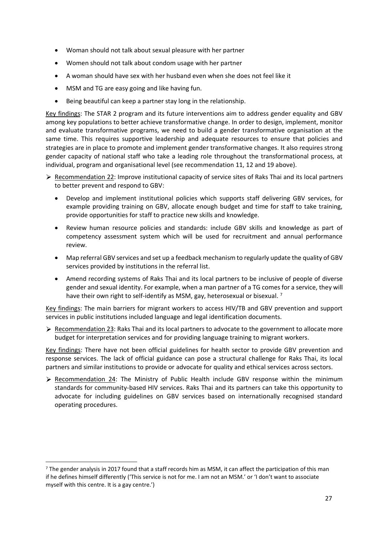- Woman should not talk about sexual pleasure with her partner
- Women should not talk about condom usage with her partner
- A woman should have sex with her husband even when she does not feel like it
- MSM and TG are easy going and like having fun.
- Being beautiful can keep a partner stay long in the relationship.

Key findings: The STAR 2 program and its future interventions aim to address gender equality and GBV among key populations to better achieve transformative change. In order to design, implement, monitor and evaluate transformative programs, we need to build a gender transformative organisation at the same time. This requires supportive leadership and adequate resources to ensure that policies and strategies are in place to promote and implement gender transformative changes. It also requires strong gender capacity of national staff who take a leading role throughout the transformational process, at individual, program and organisational level (see recommendation 11, 12 and 19 above).

- Recommendation 22: Improve institutional capacity of service sites of Raks Thai and its local partners to better prevent and respond to GBV:
	- Develop and implement institutional policies which supports staff delivering GBV services, for example providing training on GBV, allocate enough budget and time for staff to take training, provide opportunities for staff to practice new skills and knowledge.
	- Review human resource policies and standards: include GBV skills and knowledge as part of competency assessment system which will be used for recruitment and annual performance review.
	- Map referral GBV services and set up a feedback mechanism to regularly update the quality of GBV services provided by institutions in the referral list.
	- Amend recording systems of Raks Thai and its local partners to be inclusive of people of diverse gender and sexual identity. For example, when a man partner of a TG comes for a service, they will have their own right to self-identify as MSM, gay, heterosexual or bisexual.<sup>7</sup>

Key findings: The main barriers for migrant workers to access HIV/TB and GBV prevention and support services in public institutions included language and legal identification documents.

 $\triangleright$  Recommendation 23: Raks Thai and its local partners to advocate to the government to allocate more budget for interpretation services and for providing language training to migrant workers.

Key findings: There have not been official guidelines for health sector to provide GBV prevention and response services. The lack of official guidance can pose a structural challenge for Raks Thai, its local partners and similar institutions to provide or advocate for quality and ethical services across sectors.

 $\triangleright$  Recommendation 24: The Ministry of Public Health include GBV response within the minimum standards for community-based HIV services. Raks Thai and its partners can take this opportunity to advocate for including guidelines on GBV services based on internationally recognised standard operating procedures.

 $7$  The gender analysis in 2017 found that a staff records him as MSM, it can affect the participation of this man if he defines himself differently ('This service is not for me. I am not an MSM.' or 'I don't want to associate myself with this centre. It is a gay centre.')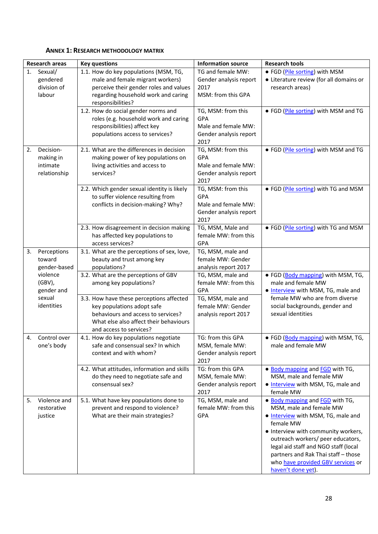|    | <b>Research areas</b>                              | <b>Key questions</b>                                                                                                                                                              | <b>Information source</b>                                                                 | <b>Research tools</b>                                                                                                                                                                                                                                                                                                               |
|----|----------------------------------------------------|-----------------------------------------------------------------------------------------------------------------------------------------------------------------------------------|-------------------------------------------------------------------------------------------|-------------------------------------------------------------------------------------------------------------------------------------------------------------------------------------------------------------------------------------------------------------------------------------------------------------------------------------|
| 1. | Sexual/<br>gendered<br>division of<br>labour       | 1.1. How do key populations (MSM, TG,<br>male and female migrant workers)<br>perceive their gender roles and values<br>regarding household work and caring<br>responsibilities?   | TG and female MW:<br>Gender analysis report<br>2017<br>MSM: from this GPA                 | • FGD (Pile sorting) with MSM<br>• Literature review (for all domains or<br>research areas)                                                                                                                                                                                                                                         |
|    |                                                    | 1.2. How do social gender norms and<br>roles (e.g. household work and caring<br>responsibilities) affect key<br>populations access to services?                                   | TG, MSM: from this<br>GPA<br>Male and female MW:<br>Gender analysis report<br>2017        | • FGD (Pile sorting) with MSM and TG                                                                                                                                                                                                                                                                                                |
| 2. | Decision-<br>making in<br>intimate<br>relationship | 2.1. What are the differences in decision<br>making power of key populations on<br>living activities and access to<br>services?                                                   | TG, MSM: from this<br>GPA<br>Male and female MW:<br>Gender analysis report<br>2017        | • FGD (Pile sorting) with MSM and TG                                                                                                                                                                                                                                                                                                |
|    |                                                    | 2.2. Which gender sexual identity is likely<br>to suffer violence resulting from<br>conflicts in decision-making? Why?                                                            | TG, MSM: from this<br><b>GPA</b><br>Male and female MW:<br>Gender analysis report<br>2017 | • FGD (Pile sorting) with TG and MSM                                                                                                                                                                                                                                                                                                |
|    |                                                    | 2.3. How disagreement in decision making<br>has affected key populations to<br>access services?                                                                                   | TG, MSM, Male and<br>female MW: from this<br>GPA                                          | • FGD (Pile sorting) with TG and MSM                                                                                                                                                                                                                                                                                                |
| 3. | Perceptions<br>toward<br>gender-based              | 3.1. What are the perceptions of sex, love,<br>beauty and trust among key<br>populations?                                                                                         | TG, MSM, male and<br>female MW: Gender<br>analysis report 2017                            |                                                                                                                                                                                                                                                                                                                                     |
|    | violence<br>$(GBV)$ ,<br>gender and                | 3.2. What are the perceptions of GBV<br>among key populations?                                                                                                                    | TG, MSM, male and<br>female MW: from this<br>GPA                                          | • FGD (Body mapping) with MSM, TG,<br>male and female MW<br>. Interview with MSM, TG, male and                                                                                                                                                                                                                                      |
|    | sexual<br>identities                               | 3.3. How have these perceptions affected<br>key populations adopt safe<br>behaviours and access to services?<br>What else also affect their behaviours<br>and access to services? | TG, MSM, male and<br>female MW: Gender<br>analysis report 2017                            | female MW who are from diverse<br>social backgrounds, gender and<br>sexual identities                                                                                                                                                                                                                                               |
| 4. | Control over<br>one's body                         | 4.1. How do key populations negotiate<br>safe and consensual sex? In which<br>context and with whom?                                                                              | TG: from this GPA<br>MSM, female MW:<br>Gender analysis report<br>2017                    | • FGD (Body mapping) with MSM, TG,<br>male and female MW                                                                                                                                                                                                                                                                            |
|    |                                                    | 4.2. What attitudes, information and skills<br>do they need to negotiate safe and<br>consensual sex?                                                                              | TG: from this GPA<br>MSM, female MW:<br>Gender analysis report<br>2017                    | • Body mapping and <b>FGD</b> with TG,<br>MSM, male and female MW<br>. Interview with MSM, TG, male and<br>female MW                                                                                                                                                                                                                |
| 5. | Violence and<br>restorative<br>justice             | 5.1. What have key populations done to<br>prevent and respond to violence?<br>What are their main strategies?                                                                     | TG, MSM, male and<br>female MW: from this<br>GPA                                          | • Body mapping and FGD with TG,<br>MSM, male and female MW<br>. Interview with MSM, TG, male and<br>female MW<br>• Interview with community workers,<br>outreach workers/ peer educators,<br>legal aid staff and NGO staff (local<br>partners and Rak Thai staff - those<br>who have provided GBV services or<br>haven't done yet). |

#### <span id="page-27-0"></span>**ANNEX 1: RESEARCH METHODOLOGY MATRIX**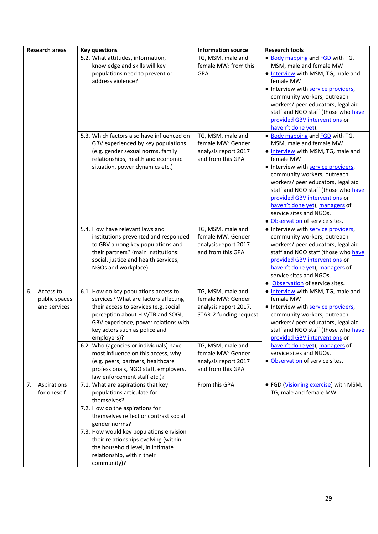|    | <b>Research areas</b>                      | <b>Key questions</b>                                                                                                                                                                                                                                                                                                                             | <b>Information source</b>                                                                 | <b>Research tools</b>                                                                                                                                                                                                                                                                                                                                                                             |
|----|--------------------------------------------|--------------------------------------------------------------------------------------------------------------------------------------------------------------------------------------------------------------------------------------------------------------------------------------------------------------------------------------------------|-------------------------------------------------------------------------------------------|---------------------------------------------------------------------------------------------------------------------------------------------------------------------------------------------------------------------------------------------------------------------------------------------------------------------------------------------------------------------------------------------------|
|    |                                            | 5.2. What attitudes, information,<br>knowledge and skills will key<br>populations need to prevent or<br>address violence?                                                                                                                                                                                                                        | TG, MSM, male and<br>female MW: from this<br>GPA                                          | • Body mapping and FGD with TG,<br>MSM, male and female MW<br>. Interview with MSM, TG, male and<br>female MW<br>• Interview with service providers,<br>community workers, outreach<br>workers/ peer educators, legal aid<br>staff and NGO staff (those who have<br>provided GBV interventions or<br>haven't done yet).                                                                           |
|    |                                            | 5.3. Which factors also have influenced on<br>GBV experienced by key populations<br>(e.g. gender sexual norms, family<br>relationships, health and economic<br>situation, power dynamics etc.)                                                                                                                                                   | TG, MSM, male and<br>female MW: Gender<br>analysis report 2017<br>and from this GPA       | • Body mapping and FGD with TG,<br>MSM, male and female MW<br>. Interview with MSM, TG, male and<br>female MW<br>• Interview with service providers,<br>community workers, outreach<br>workers/ peer educators, legal aid<br>staff and NGO staff (those who have<br>provided GBV interventions or<br>haven't done yet), managers of<br>service sites and NGOs.<br>· Observation of service sites. |
|    |                                            | 5.4. How have relevant laws and<br>institutions prevented and responded<br>to GBV among key populations and<br>their partners? (main institutions:<br>social, justice and health services,<br>NGOs and workplace)                                                                                                                                | TG, MSM, male and<br>female MW: Gender<br>analysis report 2017<br>and from this GPA       | • Interview with service providers,<br>community workers, outreach<br>workers/ peer educators, legal aid<br>staff and NGO staff (those who have<br>provided GBV interventions or<br>haven't done yet), managers of<br>service sites and NGOs.<br>• Observation of service sites.                                                                                                                  |
| 6. | Access to<br>public spaces<br>and services | 6.1. How do key populations access to<br>services? What are factors affecting<br>their access to services (e.g. social<br>perception about HIV/TB and SOGI,<br>GBV experience, power relations with<br>key actors such as police and<br>employers)?                                                                                              | TG, MSM, male and<br>female MW: Gender<br>analysis report 2017,<br>STAR-2 funding request | . Interview with MSM, TG, male and<br>female MW<br>• Interview with service providers,<br>community workers, outreach<br>workers/ peer educators, legal aid<br>staff and NGO staff (those who have<br>provided GBV interventions or                                                                                                                                                               |
|    |                                            | 6.2. Who (agencies or individuals) have<br>most influence on this access, why<br>(e.g. peers, partners, healthcare<br>professionals, NGO staff, employers,<br>law enforcement staff etc.)?                                                                                                                                                       | TG, MSM, male and<br>female MW: Gender<br>analysis report 2017<br>and from this GPA       | haven't done yet), managers of<br>service sites and NGOs.<br>· Observation of service sites.                                                                                                                                                                                                                                                                                                      |
| 7. | Aspirations<br>for oneself                 | 7.1. What are aspirations that key<br>populations articulate for<br>themselves?<br>7.2. How do the aspirations for<br>themselves reflect or contrast social<br>gender norms?<br>7.3. How would key populations envision<br>their relationships evolving (within<br>the household level, in intimate<br>relationship, within their<br>community)? | From this GPA                                                                             | • FGD (Visioning exercise) with MSM,<br>TG, male and female MW                                                                                                                                                                                                                                                                                                                                    |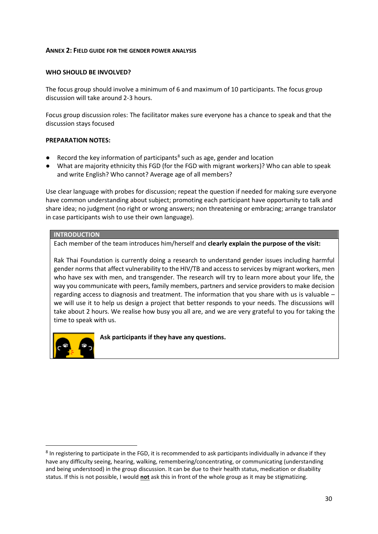#### <span id="page-29-0"></span>**ANNEX 2: FIELD GUIDE FOR THE GENDER POWER ANALYSIS**

#### **WHO SHOULD BE INVOLVED?**

The focus group should involve a minimum of 6 and maximum of 10 participants. The focus group discussion will take around 2-3 hours.

Focus group discussion roles: The facilitator makes sure everyone has a chance to speak and that the discussion stays focused

#### **PREPARATION NOTES:**

- Record the key information of participants<sup>8</sup> such as age, gender and location
- What are majority ethnicity this FGD (for the FGD with migrant workers)? Who can able to speak and write English? Who cannot? Average age of all members?

Use clear language with probes for discussion; repeat the question if needed for making sure everyone have common understanding about subject; promoting each participant have opportunity to talk and share idea; no judgment (no right or wrong answers; non threatening or embracing; arrange translator in case participants wish to use their own language).

#### **INTRODUCTION**

Each member of the team introduces him/herself and **clearly explain the purpose of the visit:** 

Rak Thai Foundation is currently doing a research to understand gender issues including harmful gender norms that affect vulnerability to the HIV/TB and access to services by migrant workers, men who have sex with men, and transgender. The research will try to learn more about your life, the way you communicate with peers, family members, partners and service providers to make decision regarding access to diagnosis and treatment. The information that you share with us is valuable – we will use it to help us design a project that better responds to your needs. The discussions will take about 2 hours. We realise how busy you all are, and we are very grateful to you for taking the time to speak with us.



**Ask participants if they have any questions.**

<sup>&</sup>lt;sup>8</sup> In registering to participate in the FGD, it is recommended to ask participants individually in advance if they have any difficulty seeing, hearing, walking, remembering/concentrating, or communicating (understanding and being understood) in the group discussion. It can be due to their health status, medication or disability status. If this is not possible, I would **not** ask this in front of the whole group as it may be stigmatizing.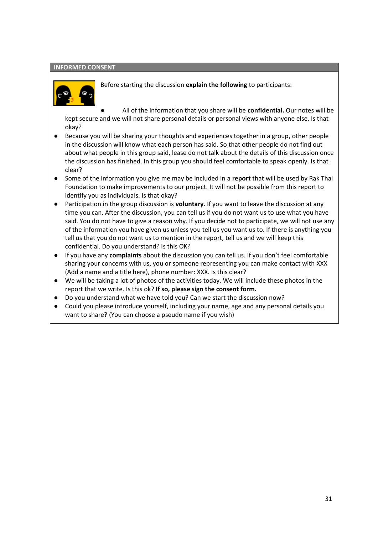#### **INFORMED CONSENT**



Before starting the discussion **explain the following** to participants:

All of the information that you share will be **confidential.** Our notes will be kept secure and we will not share personal details or personal views with anyone else. Is that okay?

- Because you will be sharing your thoughts and experiences together in a group, other people in the discussion will know what each person has said. So that other people do not find out about what people in this group said, lease do not talk about the details of this discussion once the discussion has finished. In this group you should feel comfortable to speak openly. Is that clear?
- Some of the information you give me may be included in a **report** that will be used by Rak Thai Foundation to make improvements to our project. It will not be possible from this report to identify you as individuals. Is that okay?
- Participation in the group discussion is **voluntary**. If you want to leave the discussion at any time you can. After the discussion, you can tell us if you do not want us to use what you have said. You do not have to give a reason why. If you decide not to participate, we will not use any of the information you have given us unless you tell us you want us to. If there is anything you tell us that you do not want us to mention in the report, tell us and we will keep this confidential. Do you understand? Is this OK?
- If you have any **complaints** about the discussion you can tell us. If you don't feel comfortable sharing your concerns with us, you or someone representing you can make contact with XXX (Add a name and a title here), phone number: XXX. Is this clear?
- We will be taking a lot of photos of the activities today. We will include these photos in the report that we write. Is this ok? **If so, please sign the consent form.**
- Do you understand what we have told you? Can we start the discussion now?
- Could you please introduce yourself, including your name, age and any personal details you want to share? (You can choose a pseudo name if you wish)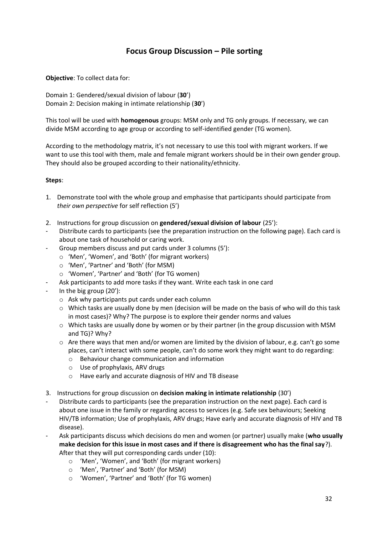# **Focus Group Discussion – Pile sorting**

**Objective**: To collect data for:

Domain 1: Gendered/sexual division of labour (**30**') Domain 2: Decision making in intimate relationship (**30**')

This tool will be used with **homogenous** groups: MSM only and TG only groups. If necessary, we can divide MSM according to age group or according to self-identified gender (TG women).

According to the methodology matrix, it's not necessary to use this tool with migrant workers. If we want to use this tool with them, male and female migrant workers should be in their own gender group. They should also be grouped according to their nationality/ethnicity.

#### **Steps**:

- 1. Demonstrate tool with the whole group and emphasise that participants should participate from *their own perspective* for self reflection (5')
- 2. Instructions for group discussion on **gendered/sexual division of labour** (25'):
- Distribute cards to participants (see the preparation instruction on the following page). Each card is about one task of household or caring work.
- Group members discuss and put cards under 3 columns (5'):
	- o 'Men', 'Women', and 'Both' (for migrant workers)
	- o 'Men', 'Partner' and 'Both' (for MSM)
	- o 'Women', 'Partner' and 'Both' (for TG women)
- Ask participants to add more tasks if they want. Write each task in one card
- In the big group  $(20')$ :
	- o Ask why participants put cards under each column
	- $\circ$  Which tasks are usually done by men (decision will be made on the basis of who will do this task in most cases)? Why? The purpose is to explore their gender norms and values
	- $\circ$  Which tasks are usually done by women or by their partner (in the group discussion with MSM and TG)? Why?
	- $\circ$  Are there ways that men and/or women are limited by the division of labour, e.g. can't go some places, can't interact with some people, can't do some work they might want to do regarding:
		- o Behaviour change communication and information
		- o Use of prophylaxis, ARV drugs
		- o Have early and accurate diagnosis of HIV and TB disease
- 3. Instructions for group discussion on **decision making in intimate relationship** (30')
- Distribute cards to participants (see the preparation instruction on the next page). Each card is about one issue in the family or regarding access to services (e.g. Safe sex behaviours; Seeking HIV/TB information; Use of prophylaxis, ARV drugs; Have early and accurate diagnosis of HIV and TB disease).
- Ask participants discuss which decisions do men and women (or partner) usually make (**who usually make decision for this issue in most cases and if there is disagreement who has the final say**?). After that they will put corresponding cards under (10):
	- o 'Men', 'Women', and 'Both' (for migrant workers)
	- o 'Men', 'Partner' and 'Both' (for MSM)
	- o 'Women', 'Partner' and 'Both' (for TG women)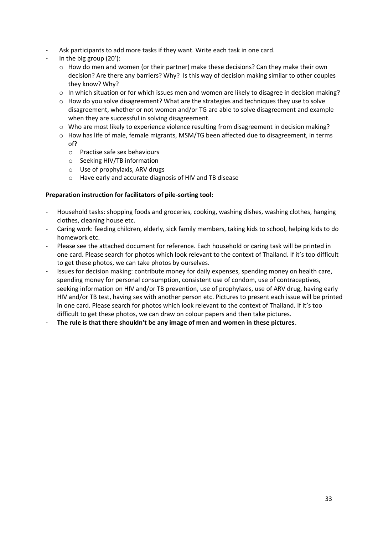- Ask participants to add more tasks if they want. Write each task in one card.
- In the big group  $(20')$ :
	- $\circ$  How do men and women (or their partner) make these decisions? Can they make their own decision? Are there any barriers? Why? Is this way of decision making similar to other couples they know? Why?
	- $\circ$  In which situation or for which issues men and women are likely to disagree in decision making?
	- $\circ$  How do you solve disagreement? What are the strategies and techniques they use to solve disagreement, whether or not women and/or TG are able to solve disagreement and example when they are successful in solving disagreement.
	- o Who are most likely to experience violence resulting from disagreement in decision making?
	- o How has life of male, female migrants, MSM/TG been affected due to disagreement, in terms of?
		- o Practise safe sex behaviours
		- o Seeking HIV/TB information
		- o Use of prophylaxis, ARV drugs
		- o Have early and accurate diagnosis of HIV and TB disease

#### **Preparation instruction for facilitators of pile-sorting tool:**

- Household tasks: shopping foods and groceries, cooking, washing dishes, washing clothes, hanging clothes, cleaning house etc.
- Caring work: feeding children, elderly, sick family members, taking kids to school, helping kids to do homework etc.
- Please see the attached document for reference. Each household or caring task will be printed in one card. Please search for photos which look relevant to the context of Thailand. If it's too difficult to get these photos, we can take photos by ourselves.
- Issues for decision making: contribute money for daily expenses, spending money on health care, spending money for personal consumption, consistent use of condom, use of contraceptives, seeking information on HIV and/or TB prevention, use of prophylaxis, use of ARV drug, having early HIV and/or TB test, having sex with another person etc. Pictures to present each issue will be printed in one card. Please search for photos which look relevant to the context of Thailand. If it's too difficult to get these photos, we can draw on colour papers and then take pictures.
- **The rule is that there shouldn't be any image of men and women in these pictures**.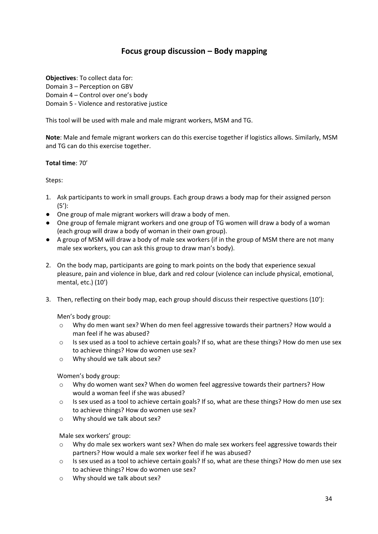# <span id="page-33-0"></span>**Focus group discussion – Body mapping**

**Objectives**: To collect data for: Domain 3 – Perception on GBV Domain 4 – Control over one's body Domain 5 - Violence and restorative justice

This tool will be used with male and male migrant workers, MSM and TG.

**Note**: Male and female migrant workers can do this exercise together if logistics allows. Similarly, MSM and TG can do this exercise together.

#### **Total time**: 70'

Steps:

- 1. Ask participants to work in small groups. Each group draws a body map for their assigned person (5'):
- One group of male migrant workers will draw a body of men.
- One group of female migrant workers and one group of TG women will draw a body of a woman (each group will draw a body of woman in their own group).
- A group of MSM will draw a body of male sex workers (if in the group of MSM there are not many male sex workers, you can ask this group to draw man's body).
- 2. On the body map, participants are going to mark points on the body that experience sexual pleasure, pain and violence in blue, dark and red colour (violence can include physical, emotional, mental, etc.) (10')
- 3. Then, reflecting on their body map, each group should discuss their respective questions (10'):

Men's body group:

- o Why do men want sex? When do men feel aggressive towards their partners? How would a man feel if he was abused?
- o Is sex used as a tool to achieve certain goals? If so, what are these things? How do men use sex to achieve things? How do women use sex?
- o Why should we talk about sex?

Women's body group:

- $\circ$  Why do women want sex? When do women feel aggressive towards their partners? How would a woman feel if she was abused?
- o Is sex used as a tool to achieve certain goals? If so, what are these things? How do men use sex to achieve things? How do women use sex?
- o Why should we talk about sex?

Male sex workers' group:

- o Why do male sex workers want sex? When do male sex workers feel aggressive towards their partners? How would a male sex worker feel if he was abused?
- o Is sex used as a tool to achieve certain goals? If so, what are these things? How do men use sex to achieve things? How do women use sex?
- o Why should we talk about sex?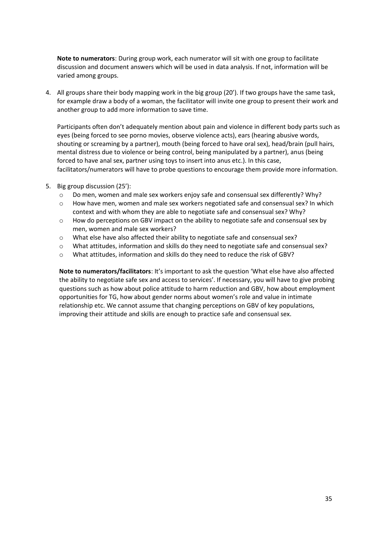**Note to numerators**: During group work, each numerator will sit with one group to facilitate discussion and document answers which will be used in data analysis. If not, information will be varied among groups.

4. All groups share their body mapping work in the big group (20'). If two groups have the same task, for example draw a body of a woman, the facilitator will invite one group to present their work and another group to add more information to save time.

Participants often don't adequately mention about pain and violence in different body parts such as eyes (being forced to see porno movies, observe violence acts), ears (hearing abusive words, shouting or screaming by a partner), mouth (being forced to have oral sex), head/brain (pull hairs, mental distress due to violence or being control, being manipulated by a partner), anus (being forced to have anal sex, partner using toys to insert into anus etc.). In this case, facilitators/numerators will have to probe questions to encourage them provide more information.

- 5. Big group discussion (25'):
	- $\circ$  Do men, women and male sex workers enjoy safe and consensual sex differently? Why?
	- o How have men, women and male sex workers negotiated safe and consensual sex? In which context and with whom they are able to negotiate safe and consensual sex? Why?
	- $\circ$  How do perceptions on GBV impact on the ability to negotiate safe and consensual sex by men, women and male sex workers?
	- o What else have also affected their ability to negotiate safe and consensual sex?
	- o What attitudes, information and skills do they need to negotiate safe and consensual sex?
	- o What attitudes, information and skills do they need to reduce the risk of GBV?

**Note to numerators/facilitators**: It's important to ask the question 'What else have also affected the ability to negotiate safe sex and access to services'. If necessary, you will have to give probing questions such as how about police attitude to harm reduction and GBV, how about employment opportunities for TG, how about gender norms about women's role and value in intimate relationship etc. We cannot assume that changing perceptions on GBV of key populations, improving their attitude and skills are enough to practice safe and consensual sex.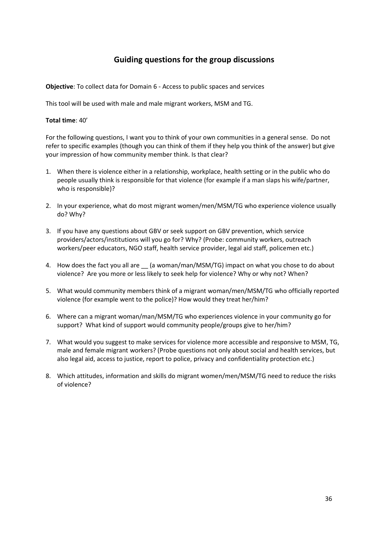# <span id="page-35-0"></span>**Guiding questions for the group discussions**

**Objective**: To collect data for Domain 6 - Access to public spaces and services

This tool will be used with male and male migrant workers, MSM and TG.

#### **Total time**: 40'

For the following questions, I want you to think of your own communities in a general sense. Do not refer to specific examples (though you can think of them if they help you think of the answer) but give your impression of how community member think. Is that clear?

- 1. When there is violence either in a relationship, workplace, health setting or in the public who do people usually think is responsible for that violence (for example if a man slaps his wife/partner, who is responsible)?
- 2. In your experience, what do most migrant women/men/MSM/TG who experience violence usually do? Why?
- 3. If you have any questions about GBV or seek support on GBV prevention, which service providers/actors/institutions will you go for? Why? (Probe: community workers, outreach workers/peer educators, NGO staff, health service provider, legal aid staff, policemen etc.)
- 4. How does the fact you all are \_\_ (a woman/man/MSM/TG) impact on what you chose to do about violence? Are you more or less likely to seek help for violence? Why or why not? When?
- 5. What would community members think of a migrant woman/men/MSM/TG who officially reported violence (for example went to the police)? How would they treat her/him?
- 6. Where can a migrant woman/man/MSM/TG who experiences violence in your community go for support? What kind of support would community people/groups give to her/him?
- 7. What would you suggest to make services for violence more accessible and responsive to MSM, TG, male and female migrant workers? (Probe questions not only about social and health services, but also legal aid, access to justice, report to police, privacy and confidentiality protection etc.)
- 8. Which attitudes, information and skills do migrant women/men/MSM/TG need to reduce the risks of violence?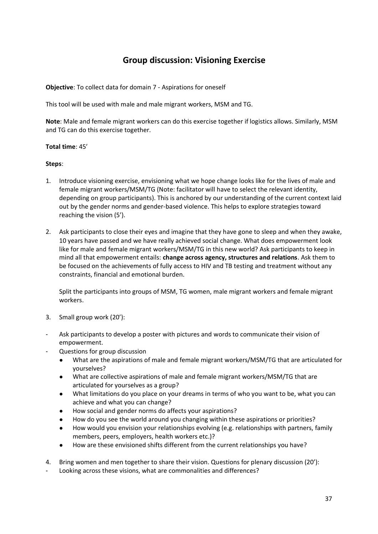# <span id="page-36-0"></span>**Group discussion: Visioning Exercise**

**Objective**: To collect data for domain 7 - Aspirations for oneself

This tool will be used with male and male migrant workers, MSM and TG.

**Note**: Male and female migrant workers can do this exercise together if logistics allows. Similarly, MSM and TG can do this exercise together.

#### **Total time**: 45'

#### **Steps**:

- 1. Introduce visioning exercise, envisioning what we hope change looks like for the lives of male and female migrant workers/MSM/TG (Note: facilitator will have to select the relevant identity, depending on group participants). This is anchored by our understanding of the current context laid out by the gender norms and gender-based violence. This helps to explore strategies toward reaching the vision (5').
- 2. Ask participants to close their eyes and imagine that they have gone to sleep and when they awake, 10 years have passed and we have really achieved social change. What does empowerment look like for male and female migrant workers/MSM/TG in this new world? Ask participants to keep in mind all that empowerment entails: **change across agency, structures and relations**. Ask them to be focused on the achievements of fully access to HIV and TB testing and treatment without any constraints, financial and emotional burden.

Split the participants into groups of MSM, TG women, male migrant workers and female migrant workers.

- 3. Small group work (20'):
- Ask participants to develop a poster with pictures and words to communicate their vision of empowerment.
- Questions for group discussion
	- What are the aspirations of male and female migrant workers/MSM/TG that are articulated for yourselves?
	- What are collective aspirations of male and female migrant workers/MSM/TG that are articulated for yourselves as a group?
	- What limitations do you place on your dreams in terms of who you want to be, what you can achieve and what you can change?
	- How social and gender norms do affects your aspirations?
	- How do you see the world around you changing within these aspirations or priorities?
	- How would you envision your relationships evolving (e.g. relationships with partners, family members, peers, employers, health workers etc.)?
	- How are these envisioned shifts different from the current relationships you have?
- 4. Bring women and men together to share their vision. Questions for plenary discussion (20'):
- Looking across these visions, what are commonalities and differences?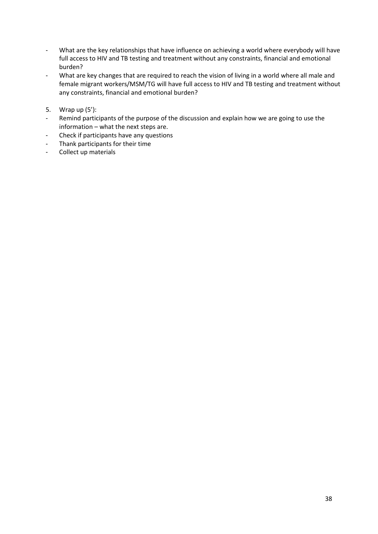- What are the key relationships that have influence on achieving a world where everybody will have full access to HIV and TB testing and treatment without any constraints, financial and emotional burden?
- What are key changes that are required to reach the vision of living in a world where all male and female migrant workers/MSM/TG will have full access to HIV and TB testing and treatment without any constraints, financial and emotional burden?
- 5. Wrap up (5'):
- Remind participants of the purpose of the discussion and explain how we are going to use the information – what the next steps are.
- Check if participants have any questions
- Thank participants for their time
- Collect up materials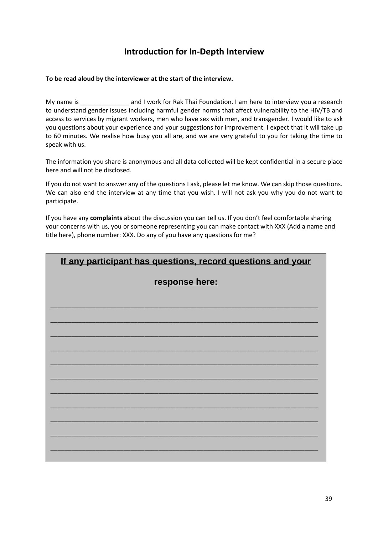# **Introduction for In-Depth Interview**

#### **To be read aloud by the interviewer at the start of the interview.**

My name is \_\_\_\_\_\_\_\_\_\_\_\_\_\_ and I work for Rak Thai Foundation. I am here to interview you a research to understand gender issues including harmful gender norms that affect vulnerability to the HIV/TB and access to services by migrant workers, men who have sex with men, and transgender. I would like to ask you questions about your experience and your suggestions for improvement. I expect that it will take up to 60 minutes. We realise how busy you all are, and we are very grateful to you for taking the time to speak with us.

The information you share is anonymous and all data collected will be kept confidential in a secure place here and will not be disclosed.

If you do not want to answer any of the questions I ask, please let me know. We can skip those questions. We can also end the interview at any time that you wish. I will not ask you why you do not want to participate.

If you have any **complaints** about the discussion you can tell us. If you don't feel comfortable sharing your concerns with us, you or someone representing you can make contact with XXX (Add a name and title here), phone number: XXX. Do any of you have any questions for me?

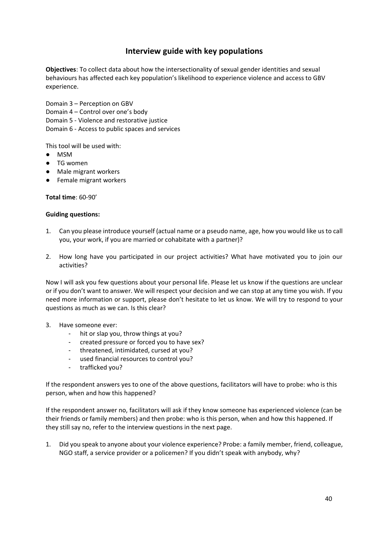### **Interview guide with key populations**

<span id="page-39-0"></span>**Objectives**: To collect data about how the intersectionality of sexual gender identities and sexual behaviours has affected each key population's likelihood to experience violence and access to GBV experience.

Domain 3 – Perception on GBV

Domain 4 – Control over one's body

Domain 5 - Violence and restorative justice

Domain 6 - Access to public spaces and services

This tool will be used with:

- MSM
- TG women
- Male migrant workers
- Female migrant workers

**Total time**: 60-90'

#### **Guiding questions:**

- 1. Can you please introduce yourself (actual name or a pseudo name, age, how you would like us to call you, your work, if you are married or cohabitate with a partner)?
- 2. How long have you participated in our project activities? What have motivated you to join our activities?

Now I will ask you few questions about your personal life. Please let us know if the questions are unclear or if you don't want to answer. We will respect your decision and we can stop at any time you wish. If you need more information or support, please don't hesitate to let us know. We will try to respond to your questions as much as we can. Is this clear?

- 3. Have someone ever:
	- hit or slap you, throw things at you?
	- created pressure or forced you to have sex?
	- threatened, intimidated, cursed at you?
	- used financial resources to control you?
	- trafficked you?

If the respondent answers yes to one of the above questions, facilitators will have to probe: who is this person, when and how this happened?

If the respondent answer no, facilitators will ask if they know someone has experienced violence (can be their friends or family members) and then probe: who is this person, when and how this happened. If they still say no, refer to the interview questions in the next page.

1. Did you speak to anyone about your violence experience? Probe: a family member, friend, colleague, NGO staff, a service provider or a policemen? If you didn't speak with anybody, why?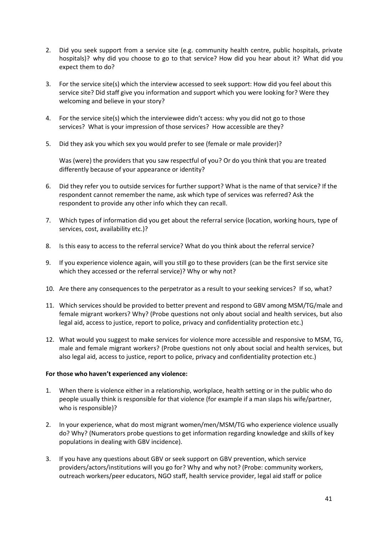- 2. Did you seek support from a service site (e.g. community health centre, public hospitals, private hospitals)? why did you choose to go to that service? How did you hear about it? What did you expect them to do?
- 3. For the service site(s) which the interview accessed to seek support: How did you feel about this service site? Did staff give you information and support which you were looking for? Were they welcoming and believe in your story?
- 4. For the service site(s) which the interviewee didn't access: why you did not go to those services? What is your impression of those services? How accessible are they?
- 5. Did they ask you which sex you would prefer to see (female or male provider)?

Was (were) the providers that you saw respectful of you? Or do you think that you are treated differently because of your appearance or identity?

- 6. Did they refer you to outside services for further support? What is the name of that service? If the respondent cannot remember the name, ask which type of services was referred? Ask the respondent to provide any other info which they can recall.
- 7. Which types of information did you get about the referral service (location, working hours, type of services, cost, availability etc.)?
- 8. Is this easy to access to the referral service? What do you think about the referral service?
- 9. If you experience violence again, will you still go to these providers (can be the first service site which they accessed or the referral service)? Why or why not?
- 10. Are there any consequences to the perpetrator as a result to your seeking services? If so, what?
- 11. Which services should be provided to better prevent and respond to GBV among MSM/TG/male and female migrant workers? Why? (Probe questions not only about social and health services, but also legal aid, access to justice, report to police, privacy and confidentiality protection etc.)
- 12. What would you suggest to make services for violence more accessible and responsive to MSM, TG, male and female migrant workers? (Probe questions not only about social and health services, but also legal aid, access to justice, report to police, privacy and confidentiality protection etc.)

#### **For those who haven't experienced any violence:**

- 1. When there is violence either in a relationship, workplace, health setting or in the public who do people usually think is responsible for that violence (for example if a man slaps his wife/partner, who is responsible)?
- 2. In your experience, what do most migrant women/men/MSM/TG who experience violence usually do? Why? (Numerators probe questions to get information regarding knowledge and skills of key populations in dealing with GBV incidence).
- 3. If you have any questions about GBV or seek support on GBV prevention, which service providers/actors/institutions will you go for? Why and why not? (Probe: community workers, outreach workers/peer educators, NGO staff, health service provider, legal aid staff or police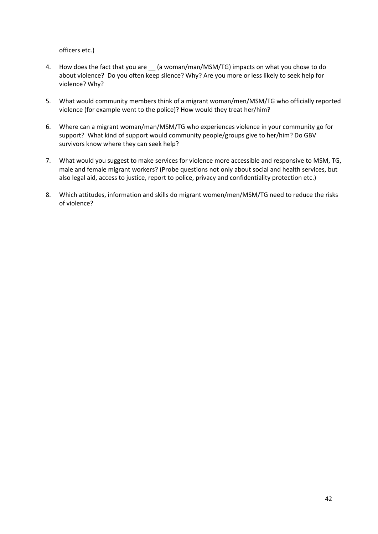officers etc.)

- 4. How does the fact that you are \_\_ (a woman/man/MSM/TG) impacts on what you chose to do about violence? Do you often keep silence? Why? Are you more or less likely to seek help for violence? Why?
- 5. What would community members think of a migrant woman/men/MSM/TG who officially reported violence (for example went to the police)? How would they treat her/him?
- 6. Where can a migrant woman/man/MSM/TG who experiences violence in your community go for support? What kind of support would community people/groups give to her/him? Do GBV survivors know where they can seek help?
- 7. What would you suggest to make services for violence more accessible and responsive to MSM, TG, male and female migrant workers? (Probe questions not only about social and health services, but also legal aid, access to justice, report to police, privacy and confidentiality protection etc.)
- 8. Which attitudes, information and skills do migrant women/men/MSM/TG need to reduce the risks of violence?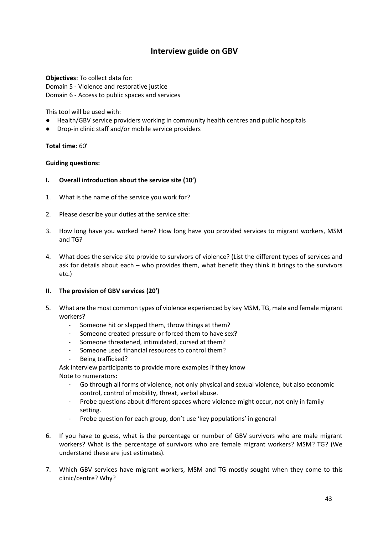**Objectives**: To collect data for: Domain 5 - Violence and restorative justice Domain 6 - Access to public spaces and services

This tool will be used with:

- Health/GBV service providers working in community health centres and public hospitals
- Drop-in clinic staff and/or mobile service providers

#### **Total time**: 60'

#### **Guiding questions:**

- **I. Overall introduction about the service site (10')**
- 1. What is the name of the service you work for?
- 2. Please describe your duties at the service site:
- 3. How long have you worked here? How long have you provided services to migrant workers, MSM and TG?
- 4. What does the service site provide to survivors of violence? (List the different types of services and ask for details about each – who provides them, what benefit they think it brings to the survivors etc.)

#### **II. The provision of GBV services (20')**

- 5. What are the most common types of violence experienced by key MSM, TG, male and female migrant workers?
	- Someone hit or slapped them, throw things at them?
	- Someone created pressure or forced them to have sex?
	- Someone threatened, intimidated, cursed at them?
	- Someone used financial resources to control them?
	- Being trafficked?

Ask interview participants to provide more examples if they know Note to numerators:

- Go through all forms of violence, not only physical and sexual violence, but also economic control, control of mobility, threat, verbal abuse.
- Probe questions about different spaces where violence might occur, not only in family setting.
- Probe question for each group, don't use 'key populations' in general
- 6. If you have to guess, what is the percentage or number of GBV survivors who are male migrant workers? What is the percentage of survivors who are female migrant workers? MSM? TG? (We understand these are just estimates).
- 7. Which GBV services have migrant workers, MSM and TG mostly sought when they come to this clinic/centre? Why?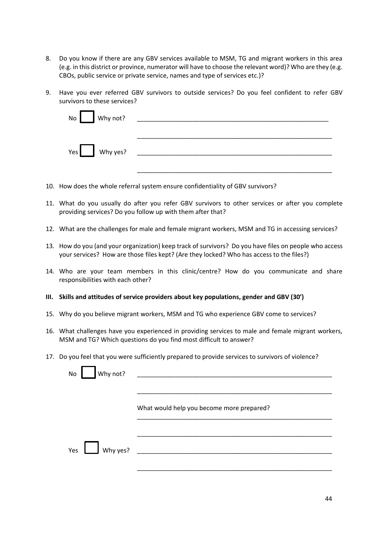- 8. Do you know if there are any GBV services available to MSM, TG and migrant workers in this area (e.g. in this district or province, numerator will have to choose the relevant word)? Who are they (e.g. CBOs, public service or private service, names and type of services etc.)?
- 9. Have you ever referred GBV survivors to outside services? Do you feel confident to refer GBV survivors to these services?

| No Why not? |                |
|-------------|----------------|
|             | $Yes$ Why yes? |

- 10. How does the whole referral system ensure confidentiality of GBV survivors?
- 11. What do you usually do after you refer GBV survivors to other services or after you complete providing services? Do you follow up with them after that?
- 12. What are the challenges for male and female migrant workers, MSM and TG in accessing services?
- 13. How do you (and your organization) keep track of survivors? Do you have files on people who access your services? How are those files kept? (Are they locked? Who has access to the files?)
- 14. Who are your team members in this clinic/centre? How do you communicate and share responsibilities with each other?
- **III. Skills and attitudes of service providers about key populations, gender and GBV (30')**
- 15. Why do you believe migrant workers, MSM and TG who experience GBV come to services?
- 16. What challenges have you experienced in providing services to male and female migrant workers, MSM and TG? Which questions do you find most difficult to answer?
- 17. Do you feel that you were sufficiently prepared to provide services to survivors of violence?

| Why not?<br>No           |                                           |
|--------------------------|-------------------------------------------|
|                          | What would help you become more prepared? |
| Why yes? $\qquad$<br>Yes |                                           |
|                          |                                           |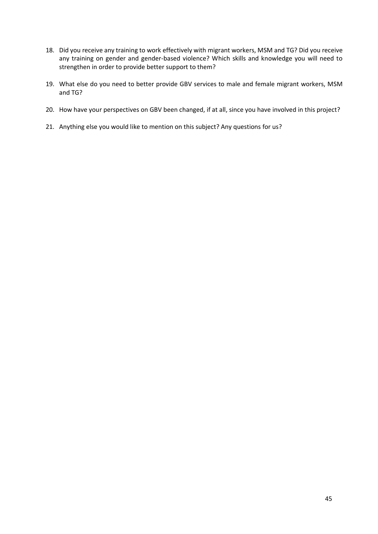- 18. Did you receive any training to work effectively with migrant workers, MSM and TG? Did you receive any training on gender and gender-based violence? Which skills and knowledge you will need to strengthen in order to provide better support to them?
- 19. What else do you need to better provide GBV services to male and female migrant workers, MSM and TG?
- 20. How have your perspectives on GBV been changed, if at all, since you have involved in this project?
- 21. Anything else you would like to mention on this subject? Any questions for us?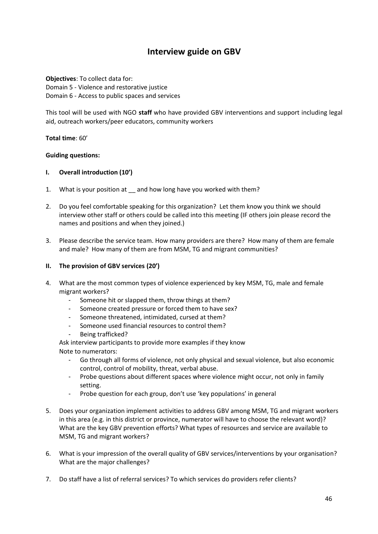<span id="page-45-0"></span>**Objectives**: To collect data for: Domain 5 - Violence and restorative justice Domain 6 - Access to public spaces and services

This tool will be used with NGO **staff** who have provided GBV interventions and support including legal aid, outreach workers/peer educators, community workers

**Total time**: 60'

#### **Guiding questions:**

#### **I. Overall introduction (10')**

- 1. What is your position at and how long have you worked with them?
- 2. Do you feel comfortable speaking for this organization? Let them know you think we should interview other staff or others could be called into this meeting (IF others join please record the names and positions and when they joined.)
- 3. Please describe the service team. How many providers are there? How many of them are female and male? How many of them are from MSM, TG and migrant communities?

#### **II. The provision of GBV services (20')**

- 4. What are the most common types of violence experienced by key MSM, TG, male and female migrant workers?
	- Someone hit or slapped them, throw things at them?
	- Someone created pressure or forced them to have sex?
	- Someone threatened, intimidated, cursed at them?
	- Someone used financial resources to control them?
	- Being trafficked?

Ask interview participants to provide more examples if they know Note to numerators:

- Go through all forms of violence, not only physical and sexual violence, but also economic control, control of mobility, threat, verbal abuse.
- Probe questions about different spaces where violence might occur, not only in family setting.
- Probe question for each group, don't use 'key populations' in general
- 5. Does your organization implement activities to address GBV among MSM, TG and migrant workers in this area (e.g. in this district or province, numerator will have to choose the relevant word)? What are the key GBV prevention efforts? What types of resources and service are available to MSM, TG and migrant workers?
- 6. What is your impression of the overall quality of GBV services/interventions by your organisation? What are the major challenges?
- 7. Do staff have a list of referral services? To which services do providers refer clients?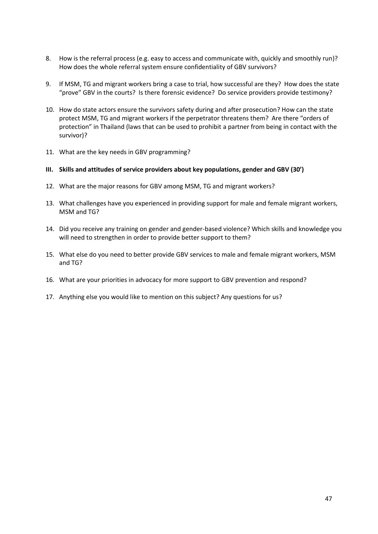- 8. How is the referral process (e.g. easy to access and communicate with, quickly and smoothly run)? How does the whole referral system ensure confidentiality of GBV survivors?
- 9. If MSM, TG and migrant workers bring a case to trial, how successful are they? How does the state "prove" GBV in the courts? Is there forensic evidence? Do service providers provide testimony?
- 10. How do state actors ensure the survivors safety during and after prosecution? How can the state protect MSM, TG and migrant workers if the perpetrator threatens them? Are there "orders of protection" in Thailand (laws that can be used to prohibit a partner from being in contact with the survivor)?
- 11. What are the key needs in GBV programming?
- **III. Skills and attitudes of service providers about key populations, gender and GBV (30')**
- 12. What are the major reasons for GBV among MSM, TG and migrant workers?
- 13. What challenges have you experienced in providing support for male and female migrant workers, MSM and TG?
- 14. Did you receive any training on gender and gender-based violence? Which skills and knowledge you will need to strengthen in order to provide better support to them?
- 15. What else do you need to better provide GBV services to male and female migrant workers, MSM and TG?
- 16. What are your priorities in advocacy for more support to GBV prevention and respond?
- 17. Anything else you would like to mention on this subject? Any questions for us?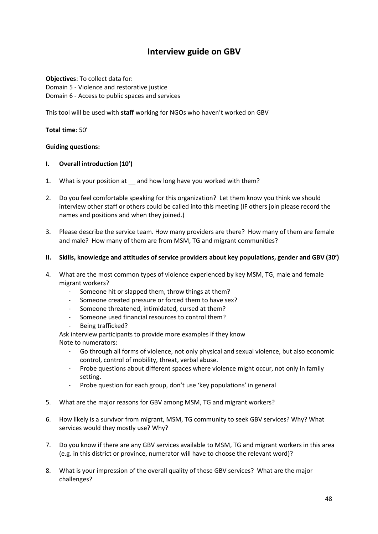<span id="page-47-0"></span>**Objectives**: To collect data for: Domain 5 - Violence and restorative justice Domain 6 - Access to public spaces and services

This tool will be used with **staff** working for NGOs who haven't worked on GBV

**Total time**: 50'

#### **Guiding questions:**

#### **I. Overall introduction (10')**

- 1. What is your position at and how long have you worked with them?
- 2. Do you feel comfortable speaking for this organization? Let them know you think we should interview other staff or others could be called into this meeting (IF others join please record the names and positions and when they joined.)
- 3. Please describe the service team. How many providers are there? How many of them are female and male? How many of them are from MSM, TG and migrant communities?
- **II. Skills, knowledge and attitudes of service providers about key populations, gender and GBV (30')**
- 4. What are the most common types of violence experienced by key MSM, TG, male and female migrant workers?
	- Someone hit or slapped them, throw things at them?
	- Someone created pressure or forced them to have sex?
	- Someone threatened, intimidated, cursed at them?
	- Someone used financial resources to control them?
	- Being trafficked?

Ask interview participants to provide more examples if they know Note to numerators:

- Go through all forms of violence, not only physical and sexual violence, but also economic control, control of mobility, threat, verbal abuse.
- Probe questions about different spaces where violence might occur, not only in family setting.
- Probe question for each group, don't use 'key populations' in general
- 5. What are the major reasons for GBV among MSM, TG and migrant workers?
- 6. How likely is a survivor from migrant, MSM, TG community to seek GBV services? Why? What services would they mostly use? Why?
- 7. Do you know if there are any GBV services available to MSM, TG and migrant workers in this area (e.g. in this district or province, numerator will have to choose the relevant word)?
- 8. What is your impression of the overall quality of these GBV services? What are the major challenges?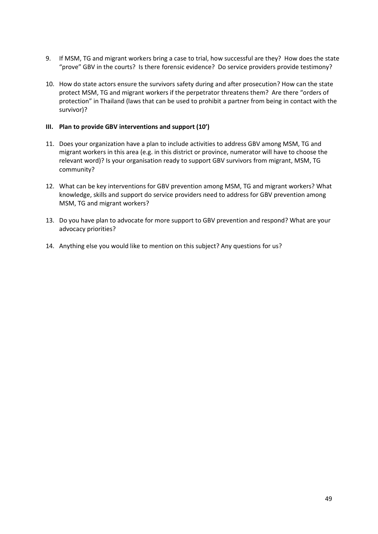- 9. If MSM, TG and migrant workers bring a case to trial, how successful are they? How does the state "prove" GBV in the courts? Is there forensic evidence? Do service providers provide testimony?
- 10. How do state actors ensure the survivors safety during and after prosecution? How can the state protect MSM, TG and migrant workers if the perpetrator threatens them? Are there "orders of protection" in Thailand (laws that can be used to prohibit a partner from being in contact with the survivor)?

#### **III. Plan to provide GBV interventions and support (10')**

- 11. Does your organization have a plan to include activities to address GBV among MSM, TG and migrant workers in this area (e.g. in this district or province, numerator will have to choose the relevant word)? Is your organisation ready to support GBV survivors from migrant, MSM, TG community?
- 12. What can be key interventions for GBV prevention among MSM, TG and migrant workers? What knowledge, skills and support do service providers need to address for GBV prevention among MSM, TG and migrant workers?
- 13. Do you have plan to advocate for more support to GBV prevention and respond? What are your advocacy priorities?
- 14. Anything else you would like to mention on this subject? Any questions for us?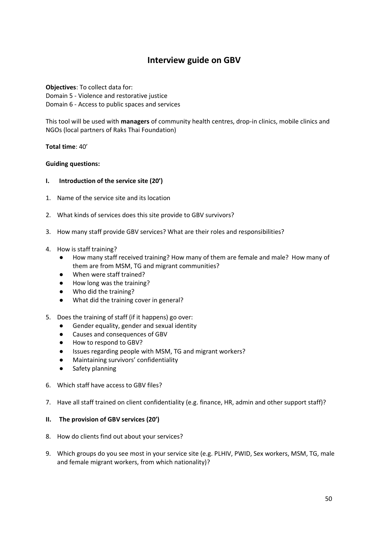<span id="page-49-0"></span>**Objectives**: To collect data for: Domain 5 - Violence and restorative justice Domain 6 - Access to public spaces and services

This tool will be used with **managers** of community health centres, drop-in clinics, mobile clinics and NGOs (local partners of Raks Thai Foundation)

**Total time**: 40'

#### **Guiding questions:**

- **I. Introduction of the service site (20')**
- 1. Name of the service site and its location
- 2. What kinds of services does this site provide to GBV survivors?
- 3. How many staff provide GBV services? What are their roles and responsibilities?
- 4. How is staff training?
	- How many staff received training? How many of them are female and male? How many of them are from MSM, TG and migrant communities?
	- When were staff trained?
	- How long was the training?
	- Who did the training?
	- What did the training cover in general?
- 5. Does the training of staff (if it happens) go over:
	- Gender equality, gender and sexual identity
	- Causes and consequences of GBV
	- How to respond to GBV?
	- Issues regarding people with MSM, TG and migrant workers?
	- Maintaining survivors' confidentiality
	- Safety planning
- 6. Which staff have access to GBV files?
- 7. Have all staff trained on client confidentiality (e.g. finance, HR, admin and other support staff)?

#### **II. The provision of GBV services (20')**

- 8. How do clients find out about your services?
- 9. Which groups do you see most in your service site (e.g. PLHIV, PWID, Sex workers, MSM, TG, male and female migrant workers, from which nationality)?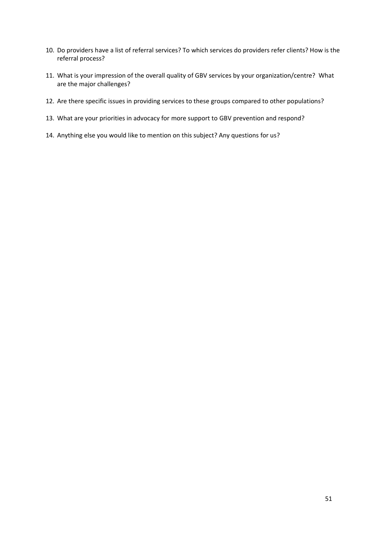- 10. Do providers have a list of referral services? To which services do providers refer clients? How is the referral process?
- 11. What is your impression of the overall quality of GBV services by your organization/centre? What are the major challenges?
- 12. Are there specific issues in providing services to these groups compared to other populations?
- 13. What are your priorities in advocacy for more support to GBV prevention and respond?
- 14. Anything else you would like to mention on this subject? Any questions for us?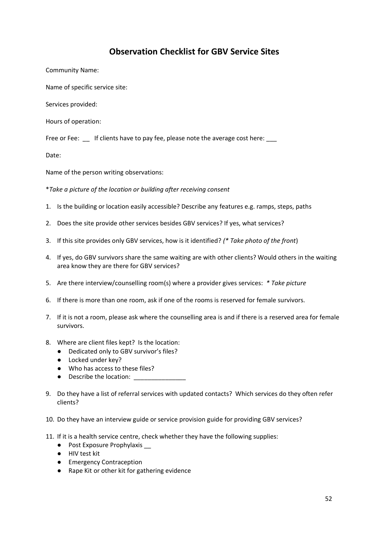# **Observation Checklist for GBV Service Sites**

<span id="page-51-0"></span>Community Name:

Name of specific service site:

Services provided:

Hours of operation:

Free or Fee:  $\quad \quad$  If clients have to pay fee, please note the average cost here:

Date:

Name of the person writing observations:

\**Take a picture of the location or building after receiving consent*

- 1. Is the building or location easily accessible? Describe any features e.g. ramps, steps, paths
- 2. Does the site provide other services besides GBV services? If yes, what services?
- 3. If this site provides only GBV services, how is it identified? *(\* Take photo of the front*)
- 4. If yes, do GBV survivors share the same waiting are with other clients? Would others in the waiting area know they are there for GBV services?
- 5. Are there interview/counselling room(s) where a provider gives services: *\* Take picture*
- 6. If there is more than one room, ask if one of the rooms is reserved for female survivors.
- 7. If it is not a room, please ask where the counselling area is and if there is a reserved area for female survivors.
- 8. Where are client files kept? Is the location:
	- Dedicated only to GBV survivor's files?
	- Locked under key?
	- Who has access to these files?
	- Describe the location:
- 9. Do they have a list of referral services with updated contacts? Which services do they often refer clients?
- 10. Do they have an interview guide or service provision guide for providing GBV services?
- 11. If it is a health service centre, check whether they have the following supplies:
	- Post Exposure Prophylaxis <u>●</u>
	- HIV test kit
	- Emergency Contraception
	- Rape Kit or other kit for gathering evidence